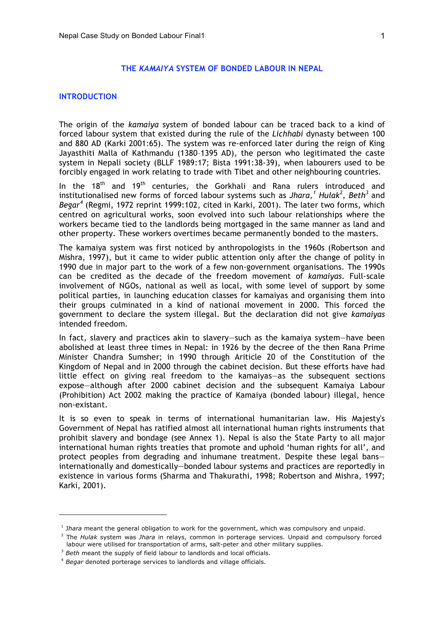#### **THE** *KAMAIYA* **SYSTEM OF BONDED LABOUR IN NEPAL**

#### **INTRODUCTION**

 $\overline{a}$ 

The origin of the *kamaiya* system of bonded labour can be traced back to a kind of forced labour system that existed during the rule of the *Lichhabi* dynasty between 100 and 880 AD (Karki 2001:65). The system was re-enforced later during the reign of King Jayasthiti Malla of Kathmandu (1380–1395 AD), the person who legitimated the caste system in Nepali society (BLLF 1989:17; Bista 1991:38-39), when labourers used to be forcibly engaged in work relating to trade with Tibet and other neighbouring countries.

In the 18<sup>th</sup> and 19<sup>th</sup> centuries, the Gorkhali and Rana rulers introduced and institutionalised new forms of forced labour systems such as *Jhara, <sup>1</sup> Hulak<sup>2</sup> , Beth<sup>3</sup>* and *Begar <sup>4</sup>* (Regmi, 1972 reprint 1999:102, cited in Karki, 2001). The later two forms, which centred on agricultural works, soon evolved into such labour relationships where the workers became tied to the landlords being mortgaged in the same manner as land and other property. These workers overtimes became permanently bonded to the masters.

The kamaiya system was first noticed by anthropologists in the 1960s (Robertson and Mishra, 1997), but it came to wider public attention only after the change of polity in 1990 due in major part to the work of a few non-government organisations. The 1990s can be credited as the decade of the freedom movement of *kamaiyas*. Full-scale involvement of NGOs, national as well as local, with some level of support by some political parties, in launching education classes for kamaiyas and organising them into their groups culminated in a kind of national movement in 2000. This forced the government to declare the system illegal. But the declaration did not give *kamaiyas* intended freedom.

In fact, slavery and practices akin to slavery—such as the kamaiya system—have been abolished at least three times in Nepal: in 1926 by the decree of the then Rana Prime Minister Chandra Sumsher; in 1990 through Ariticle 20 of the Constitution of the Kingdom of Nepal and in 2000 through the cabinet decision. But these efforts have had little effect on giving real freedom to the kamaiyas—as the subsequent sections expose—although after 2000 cabinet decision and the subsequent Kamaiya Labour (Prohibition) Act 2002 making the practice of Kamaiya (bonded labour) illegal, hence non-existant.

It is so even to speak in terms of international humanitarian law. His Majesty's Government of Nepal has ratified almost all international human rights instruments that prohibit slavery and bondage (see Annex 1). Nepal is also the State Party to all major international human rights treaties that promote and uphold 'human rights for all', and protect peoples from degrading and inhumane treatment. Despite these legal bans internationally and domestically—bonded labour systems and practices are reportedly in existence in various forms (Sharma and Thakurathi, 1998; Robertson and Mishra, 1997; Karki, 2001).

<sup>&</sup>lt;sup>1</sup> Jhara meant the general obligation to work for the government, which was compulsory and unpaid.

<sup>2</sup> The *Hulak* system was *Jhara* in relays, common in porterage services. Unpaid and compulsory forced labour were utilised for transportation of arms, salt-peter and other military supplies. 3 *Beth* meant the supply of field labour to landlords and local officials.

<sup>4</sup> *Begar* denoted porterage services to landlords and village officials.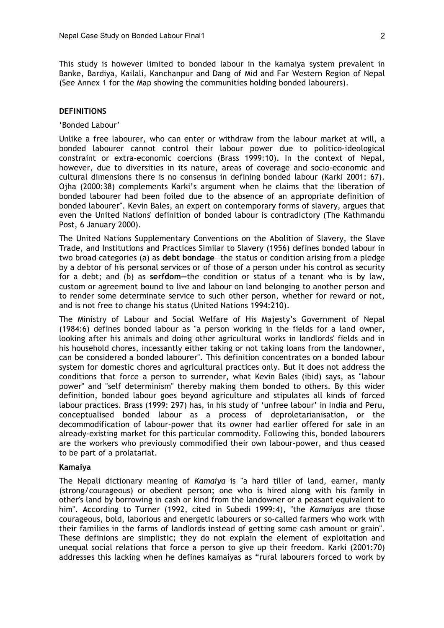This study is however limited to bonded labour in the kamaiya system prevalent in Banke, Bardiya, Kailali, Kanchanpur and Dang of Mid and Far Western Region of Nepal (See Annex 1 for the Map showing the communities holding bonded labourers).

#### **DEFINITIONS**

#### 'Bonded Labour'

Unlike a free labourer, who can enter or withdraw from the labour market at will, a bonded labourer cannot control their labour power due to politico-ideological constraint or extra-economic coercions (Brass 1999:10). In the context of Nepal, however, due to diversities in its nature, areas of coverage and socio-economic and cultural dimensions there is no consensus in defining bonded labour (Karki 2001: 67). Ojha (2000:38) complements Karki's argument when he claims that the liberation of bonded labourer had been foiled due to the absence of an appropriate definition of bonded labourer". Kevin Bales, an expert on contemporary forms of slavery, argues that even the United Nations' definition of bonded labour is contradictory (The Kathmandu Post, 6 January 2000).

The United Nations Supplementary Conventions on the Abolition of Slavery, the Slave Trade, and Institutions and Practices Similar to Slavery (1956) defines bonded labour in two broad categories (a) as **debt bondage**—the status or condition arising from a pledge by a debtor of his personal services or of those of a person under his control as security for a debt; and (b) as **serfdom—**the condition or status of a tenant who is by law, custom or agreement bound to live and labour on land belonging to another person and to render some determinate service to such other person, whether for reward or not, and is not free to change his status (United Nations 1994:210).

The Ministry of Labour and Social Welfare of His Majesty's Government of Nepal (1984:6) defines bonded labour as "a person working in the fields for a land owner, looking after his animals and doing other agricultural works in landlords' fields and in his household chores, incessantly either taking or not taking loans from the landowner, can be considered a bonded labourer". This definition concentrates on a bonded labour system for domestic chores and agricultural practices only. But it does not address the conditions that force a person to surrender, what Kevin Bales (ibid) says, as "labour power" and "self determinism" thereby making them bonded to others. By this wider definition, bonded labour goes beyond agriculture and stipulates all kinds of forced labour practices. Brass (1999: 297) has, in his study of 'unfree labour' in India and Peru, conceptualised bonded labour as a process of deproletarianisation, or the decommodification of labour-power that its owner had earlier offered for sale in an already-existing market for this particular commodity. Following this, bonded labourers are the workers who previously commodified their own labour-power, and thus ceased to be part of a prolatariat.

#### **Kamaiya**

The Nepali dictionary meaning of *Kamaiya* is "a hard tiller of land, earner, manly (strong/courageous) or obedient person; one who is hired along with his family in other's land by borrowing in cash or kind from the landowner or a peasant equivalent to him". According to Turner (1992, cited in Subedi 1999:4), "the *Kamaiyas* are those courageous, bold, laborious and energetic labourers or so-called farmers who work with their families in the farms of landlords instead of getting some cash amount or grain". These definions are simplistic; they do not explain the element of exploitation and unequal social relations that force a person to give up their freedom. Karki (2001:70) addresses this lacking when he defines kamaiyas as "rural labourers forced to work by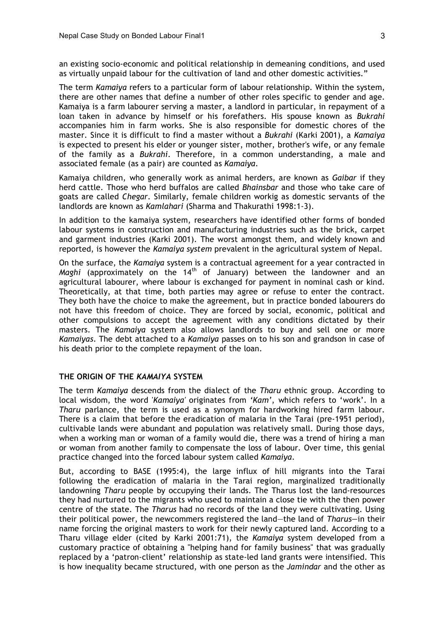an existing socio-economic and political relationship in demeaning conditions, and used as virtually unpaid labour for the cultivation of land and other domestic activities."

The term *Kamaiya* refers to a particular form of labour relationship. Within the system, there are other names that define a number of other roles specific to gender and age. Kamaiya is a farm labourer serving a master, a landlord in particular, in repayment of a loan taken in advance by himself or his forefathers. His spouse known as *Bukrahi* accompanies him in farm works. She is also responsible for domestic chores of the master. Since it is difficult to find a master without a *Bukrahi* (Karki 2001), a *Kamaiya* is expected to present his elder or younger sister, mother, brother's wife, or any female of the family as a *Bukrahi*. Therefore, in a common understanding, a male and associated female (as a pair) are counted as *Kamaiya*.

Kamaiya children, who generally work as animal herders, are known as *Gaibar* if they herd cattle. Those who herd buffalos are called *Bhainsbar* and those who take care of goats are called *Chegar*. Similarly, female children workig as domestic servants of the landlords are known as *Kamlahari* (Sharma and Thakurathi 1998:1-3).

In addition to the kamaiya system, researchers have identified other forms of bonded labour systems in construction and manufacturing industries such as the brick, carpet and garment industries (Karki 2001). The worst amongst them, and widely known and reported, is however the *Kamaiya system* prevalent in the agricultural system of Nepal.

On the surface, the *Kamaiya* system is a contractual agreement for a year contracted in *Maghi* (approximately on the 14<sup>th</sup> of January) between the landowner and an agricultural labourer, where labour is exchanged for payment in nominal cash or kind. Theoretically, at that time, both parties may agree or refuse to enter the contract. They both have the choice to make the agreement, but in practice bonded labourers do not have this freedom of choice. They are forced by social, economic, political and other compulsions to accept the agreement with any conditions dictated by their masters. The *Kamaiya* system also allows landlords to buy and sell one or more *Kamaiyas*. The debt attached to a *Kamaiya* passes on to his son and grandson in case of his death prior to the complete repayment of the loan.

### **THE ORIGIN OF THE** *KAMAIYA* **SYSTEM**

The term *Kamaiya* descends from the dialect of the *Tharu* ethnic group. According to local wisdom, the word '*Kamaiya'* originates from *'Kam'*, which refers to 'work'. In a *Tharu* parlance, the term is used as a synonym for hardworking hired farm labour. There is a claim that before the eradication of malaria in the Tarai (pre-1951 period), cultivable lands were abundant and population was relatively small. During those days, when a working man or woman of a family would die, there was a trend of hiring a man or woman from another family to compensate the loss of labour. Over time, this genial practice changed into the forced labour system called *Kamaiya*.

But, according to BASE (1995:4), the large influx of hill migrants into the Tarai following the eradication of malaria in the Tarai region, marginalized traditionally landowning *Tharu* people by occupying their lands. The Tharus lost the land-resources they had nurtured to the migrants who used to maintain a close tie with the then power centre of the state. The *Tharus* had no records of the land they were cultivating. Using their political power, the newcommers registered the land—the land of *Tharus—*in their name forcing the original masters to work for their newly captured land. According to a Tharu village elder (cited by Karki 2001:71), the *Kamaiya* system developed from a customary practice of obtaining a "helping hand for family business" that was gradually replaced by a 'patron-client' relationship as state-led land grants were intensified. This is how inequality became structured, with one person as the *Jamindar* and the other as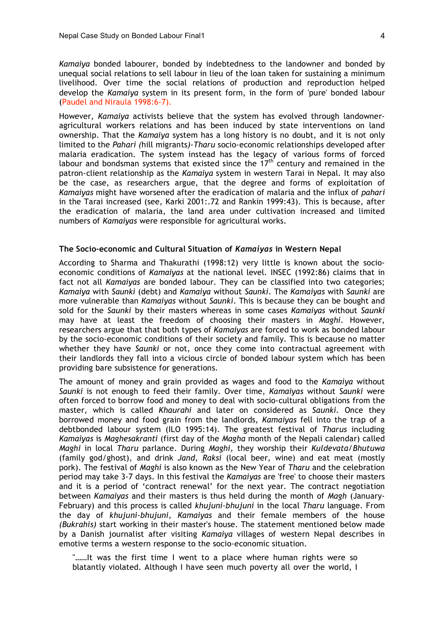*Kamaiya* bonded labourer, bonded by indebtedness to the landowner and bonded by unequal social relations to sell labour in lieu of the loan taken for sustaining a minimum livelihood. Over time the social relations of production and reproduction helped develop the *Kamaiya* system in its present form, in the form of 'pure' bonded labour (Paudel and Niraula 1998:6-7).

However, *Kamaiya* activists believe that the system has evolved through landowneragricultural workers relations and has been induced by state interventions on land ownership. That the *Kamaiya* system has a long history is no doubt, and it is not only limited to the *Pahari (*hill migrants*)-Tharu* socio-economic relationships developed after malaria eradication. The system instead has the legacy of various forms of forced labour and bondsman systems that existed since the  $17<sup>th</sup>$  century and remained in the patron-client relationship as the *Kamaiya* system in western Tarai in Nepal. It may also be the case, as researchers argue, that the degree and forms of exploitation of *Kamaiyas* might have worsened after the eradication of malaria and the influx of *pahari* in the Tarai increased (see, Karki 2001:.72 and Rankin 1999:43). This is because, after the eradication of malaria, the land area under cultivation increased and limited numbers of *Kamaiyas* were responsible for agricultural works.

#### **The Socio-economic and Cultural Situation of** *Kamaiyas* **in Western Nepal**

According to Sharma and Thakurathi (1998:12) very little is known about the socioeconomic conditions of *Kamaiyas* at the national level. INSEC (1992:86) claims that in fact not all *Kamaiyas* are bonded labour. They can be classified into two categories; *Kamaiya* with *Saunki* (debt) and *Kamaiya* without *Saunki*. The *Kamaiyas* with *Saunki* are more vulnerable than *Kamaiyas* without *Saunki*. This is because they can be bought and sold for the *Saunki* by their masters whereas in some cases *Kamaiyas* without *Saunki* may have at least the freedom of choosing their masters in *Maghi*. However, researchers argue that that both types of *Kamaiyas* are forced to work as bonded labour by the socio-economic conditions of their society and family. This is because no matter whether they have *Saunki* or not, once they come into contractual agreement with their landlords they fall into a vicious circle of bonded labour system which has been providing bare subsistence for generations.

The amount of money and grain provided as wages and food to the *Kamaiya* without *Saunki* is not enough to feed their family. Over time, *Kamaiyas* without *Saunki* were often forced to borrow food and money to deal with socio-cultural obligations from the master, which is called *Khaurahi* and later on considered as *Saunki.* Once they borrowed money and food grain from the landlords, *Kamaiyas* fell into the trap of a debtbonded labour system (ILO 1995:14). The greatest festival of *Tharus* including *Kamaiyas* is *Maghesakranti* (first day of the *Magha* month of the Nepali calendar) called *Maghi* in local *Tharu* parlance. During *Maghi,* they worship their *Kuldevata/Bhutuwa* (family god/ghost), and drink *Jand, Raksi* (local beer, wine) and eat meat (mostly pork). The festival of *Maghi* is also known as the New Year of *Tharu* and the celebration period may take 3-7 days. In this festival the *Kamaiyas* are 'free' to choose their masters and it is a period of 'contract renewal' for the next year. The contract negotiation between *Kamaiyas* and their masters is thus held during the month of *Magh* (January-February) and this process is called *khujuni-bhujuni* in the local *Tharu* language. From the day of *khujuni-bhujuni, Kamaiyas* and their female members of the house *(Bukrahis)* start working in their master's house. The statement mentioned below made by a Danish journalist after visiting *Kamaiya* villages of western Nepal describes in emotive terms a western response to the socio-economic situation.

"……It was the first time I went to a place where human rights were so blatantly violated. Although I have seen much poverty all over the world, I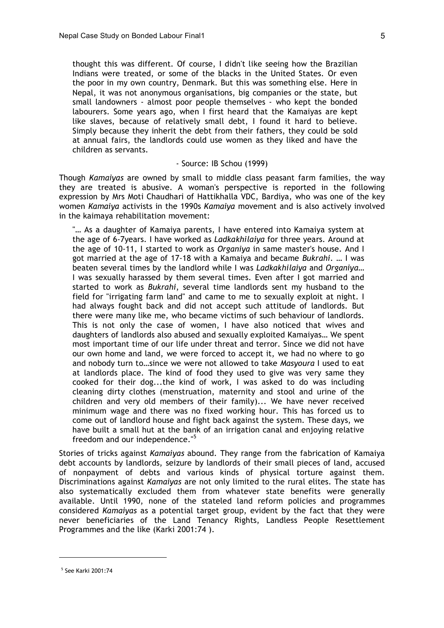thought this was different. Of course, I didn't like seeing how the Brazilian Indians were treated, or some of the blacks in the United States. Or even the poor in my own country, Denmark. But this was something else. Here in Nepal, it was not anonymous organisations, big companies or the state, but small landowners - almost poor people themselves - who kept the bonded labourers. Some years ago, when I first heard that the Kamaiyas are kept like slaves, because of relatively small debt, I found it hard to believe. Simply because they inherit the debt from their fathers, they could be sold at annual fairs, the landlords could use women as they liked and have the children as servants.

### - Source: IB Schou (1999)

Though *Kamaiyas* are owned by small to middle class peasant farm families, the way they are treated is abusive. A woman's perspective is reported in the following expression by Mrs Moti Chaudhari of Hattikhalla VDC, Bardiya, who was one of the key women *Kamaiya* activists in the 1990s *Kamaiya* movement and is also actively involved in the kaimaya rehabilitation movement:

"… As a daughter of Kamaiya parents, I have entered into Kamaiya system at the age of 6-7years. I have worked as *Ladkakhilaiya* for three years. Around at the age of 10-11, I started to work as *Organiya* in same master's house. And I got married at the age of 17-18 with a Kamaiya and became *Bukrahi*. … I was beaten several times by the landlord while I was *Ladkakhilaiya* and *Organiya*… I was sexually harassed by them several times. Even after I got married and started to work as *Bukrahi*, several time landlords sent my husband to the field for "irrigating farm land" and came to me to sexually exploit at night. I had always fought back and did not accept such attitude of landlords. But there were many like me, who became victims of such behaviour of landlords. This is not only the case of women, I have also noticed that wives and daughters of landlords also abused and sexually exploited Kamaiyas… We spent most important time of our life under threat and terror. Since we did not have our own home and land, we were forced to accept it, we had no where to go and nobody turn to…since we were not allowed to take *Masyoura* I used to eat at landlords place. The kind of food they used to give was very same they cooked for their dog...the kind of work, I was asked to do was including cleaning dirty clothes (menstruation, maternity and stool and urine of the children and very old members of their family)... We have never received minimum wage and there was no fixed working hour. This has forced us to come out of landlord house and fight back against the system. These days, we have built a small hut at the bank of an irrigation canal and enjoying relative freedom and our independence."<sup>5</sup>

Stories of tricks against *Kamaiyas* abound. They range from the fabrication of Kamaiya debt accounts by landlords, seizure by landlords of their small pieces of land, accused of nonpayment of debts and various kinds of physical torture against them. Discriminations against *Kamaiyas* are not only limited to the rural elites. The state has also systematically excluded them from whatever state benefits were generally available. Until 1990, none of the stateled land reform policies and programmes considered *Kamaiyas* as a potential target group, evident by the fact that they were never beneficiaries of the Land Tenancy Rights, Landless People Resettlement Programmes and the like (Karki 2001:74 ).

<sup>5</sup> See Karki 2001:74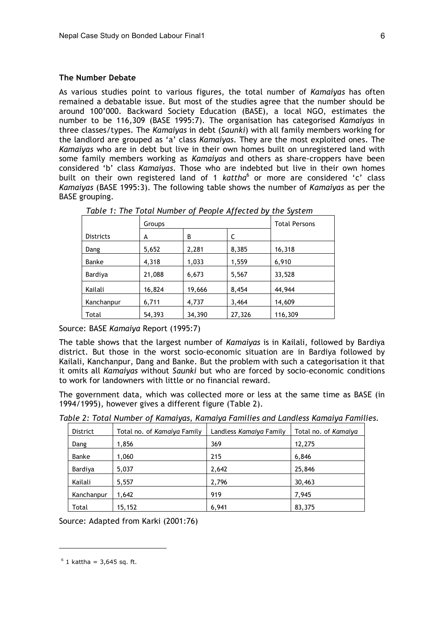#### **The Number Debate**

As various studies point to various figures, the total number of *Kamaiyas* has often remained a debatable issue. But most of the studies agree that the number should be around 100'000. Backward Society Education (BASE), a local NGO, estimates the number to be 116,309 (BASE 1995:7). The organisation has categorised *Kamaiyas* in three classes/types. The *Kamaiyas* in debt (*Saunki*) with all family members working for the landlord are grouped as 'a' class *Kamaiyas*. They are the most exploited ones. The *Kamaiyas* who are in debt but live in their own homes built on unregistered land with some family members working as *Kamaiyas* and others as share-croppers have been considered 'b' class *Kamaiyas*. Those who are indebted but live in their own homes built on their own registered land of 1 kattha<sup>6</sup> or more are considered 'c' class *Kamaiyas* (BASE 1995:3). The following table shows the number of *Kamaiyas* as per the BASE grouping.

|                  | Groups |        | <b>Total Persons</b> |         |
|------------------|--------|--------|----------------------|---------|
| <b>Districts</b> | A      | B      | C                    |         |
| Dang             | 5,652  | 2,281  | 8,385                | 16,318  |
| <b>Banke</b>     | 4,318  | 1,033  | 1,559                | 6,910   |
| Bardiya          | 21,088 | 6,673  | 5,567                | 33,528  |
| Kailali          | 16,824 | 19,666 | 8,454                | 44,944  |
| Kanchanpur       | 6,711  | 4,737  | 3,464                | 14,609  |
| Total            | 54,393 | 34,390 | 27,326               | 116,309 |

*Table 1: The Total Number of People Affected by the System*

Source: BASE *Kamaiya* Report (1995:7)

The table shows that the largest number of *Kamaiyas* is in Kailali, followed by Bardiya district. But those in the worst socio-economic situation are in Bardiya followed by Kailali, Kanchanpur, Dang and Banke. But the problem with such a categorisation it that it omits all *Kamaiyas* without *Saunki* but who are forced by socio-economic conditions to work for landowners with little or no financial reward.

The government data, which was collected more or less at the same time as BASE (in 1994/1995), however gives a different figure (Table 2).

|  |  |  |  |  |  | Table 2: Total Number of Kamaiyas, Kamaiya Families and Landless Kamaiya Families. |  |  |  |
|--|--|--|--|--|--|------------------------------------------------------------------------------------|--|--|--|
|--|--|--|--|--|--|------------------------------------------------------------------------------------|--|--|--|

| <b>District</b> | Total no. of Kamaiya Family | Landless Kamaiya Family | Total no. of Kamaiya |
|-----------------|-----------------------------|-------------------------|----------------------|
| Dang            | 1,856                       | 369                     | 12,275               |
| Banke           | 1,060                       | 215                     | 6,846                |
| Bardiya         | 5,037                       | 2,642                   | 25,846               |
| Kailali         | 5,557                       | 2,796                   | 30,463               |
| Kanchanpur      | 1,642                       | 919                     | 7,945                |
| Total           | 15,152                      | 6,941                   | 83,375               |

Source: Adapted from Karki (2001:76)

 $6$  1 kattha = 3,645 sq. ft.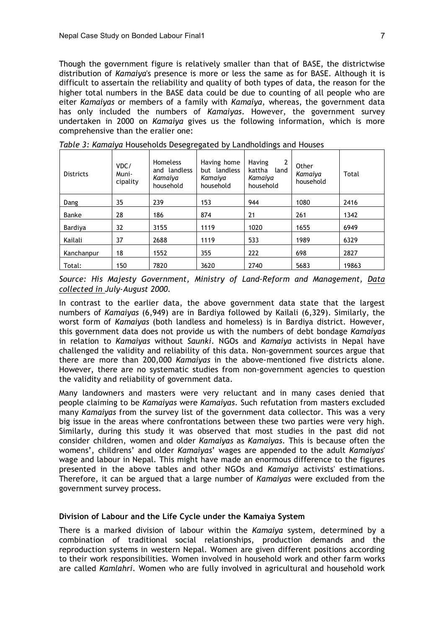Though the government figure is relatively smaller than that of BASE, the districtwise distribution of *Kamaiya*'s presence is more or less the same as for BASE. Although it is difficult to assertain the reliability and quality of both types of data, the reason for the higher total numbers in the BASE data could be due to counting of all people who are eiter *Kamaiyas* or members of a family with *Kamaiya*, whereas, the government data has only included the numbers of *Kamaiyas*. However, the government survey undertaken in 2000 on *Kamaiya* gives us the following information, which is more comprehensive than the eralier one:

| <b>Districts</b> | VDC/<br>Muni-<br>cipality | <b>Homeless</b><br>and landless<br>Kamaiya<br>household | Having home<br>but landless<br>Kamaiya<br>household | $\overline{2}$<br><b>Having</b><br>kattha<br>land<br>Kamaiya<br>household | Other<br>Kamaiya<br>household | Total |
|------------------|---------------------------|---------------------------------------------------------|-----------------------------------------------------|---------------------------------------------------------------------------|-------------------------------|-------|
| Dang             | 35                        | 239                                                     | 153                                                 | 944                                                                       | 1080                          | 2416  |
| Banke            | 28                        | 186                                                     | 874                                                 | 21                                                                        | 261                           | 1342  |
| Bardiya          | 32                        | 3155                                                    | 1119                                                | 1020                                                                      | 1655                          | 6949  |
| Kailali          | 37                        | 2688                                                    | 1119                                                | 533                                                                       | 1989                          | 6329  |
| Kanchanpur       | 18                        | 1552                                                    | 355                                                 | 222                                                                       | 698                           | 2827  |
| Total:           | 150                       | 7820                                                    | 3620                                                | 2740                                                                      | 5683                          | 19863 |

*Table 3: Kamaiya* Households Desegregated by Landholdings and Houses

*Source: His Majesty Government, Ministry of Land-Reform and Management, Data collected in July-August 2000.*

In contrast to the earlier data, the above government data state that the largest numbers of *Kamaiyas* (6,949) are in Bardiya followed by Kailali (6,329). Similarly, the worst form of *Kamaiyas* (both landless and homeless) is in Bardiya district. However, this government data does not provide us with the numbers of debt bondage *Kamaiyas* in relation to *Kamaiyas* without *Saunki*. NGOs and *Kamaiya* activists in Nepal have challenged the validity and reliability of this data. Non-government sources argue that there are more than 200,000 *Kamaiyas* in the above-mentioned five districts alone. However, there are no systematic studies from non-government agencies to question the validity and reliability of government data.

Many landowners and masters were very reluctant and in many cases denied that people claiming to be *Kamaiyas* were *Kamaiyas*. Such refutation from masters excluded many *Kamaiyas* from the survey list of the government data collector. This was a very big issue in the areas where confrontations between these two parties were very high. Similarly, during this study it was observed that most studies in the past did not consider children, women and older *Kamaiyas* as *Kamaiyas*. This is because often the womens', childrens' and older *Kamaiyas*' wages are appended to the adult *Kamaiyas*' wage and labour in Nepal. This might have made an enormous difference to the figures presented in the above tables and other NGOs and *Kamaiya* activists' estimations. Therefore, it can be argued that a large number of *Kamaiyas* were excluded from the government survey process.

### **Division of Labour and the Life Cycle under the Kamaiya System**

There is a marked division of labour within the *Kamaiya* system, determined by a combination of traditional social relationships, production demands and the reproduction systems in western Nepal. Women are given different positions according to their work responsibilities. Women involved in household work and other farm works are called *Kamlahri*. Women who are fully involved in agricultural and household work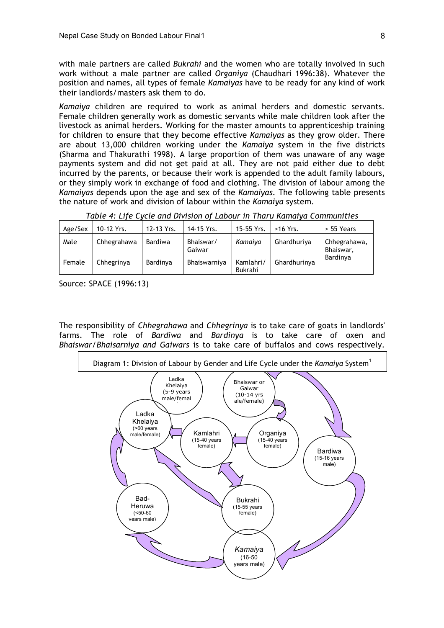with male partners are called *Bukrahi* and the women who are totally involved in such work without a male partner are called *Organiya* (Chaudhari 1996:38). Whatever the position and names, all types of female *Kamaiyas* have to be ready for any kind of work their landlords/masters ask them to do.

*Kamaiya* children are required to work as animal herders and domestic servants. Female children generally work as domestic servants while male children look after the livestock as animal herders. Working for the master amounts to apprenticeship training for children to ensure that they become effective *Kamaiyas* as they grow older. There are about 13,000 children working under the *Kamaiya* system in the five districts (Sharma and Thakurathi 1998). A large proportion of them was unaware of any wage payments system and did not get paid at all. They are not paid either due to debt incurred by the parents, or because their work is appended to the adult family labours, or they simply work in exchange of food and clothing. The division of labour among the *Kamaiyas* depends upon the age and sex of the *Kamaiyas*. The following table presents the nature of work and division of labour within the *Kamaiya* system.

*Table 4: Life Cycle and Division of Labour in Tharu Kamaiya Communities*

| Age/Sex | 10-12 Yrs.  | 12-13 Yrs.     | 14-15 Yrs.          | 15-55 Yrs.           | $>16$ Yrs.   | > 55 Years                |
|---------|-------------|----------------|---------------------|----------------------|--------------|---------------------------|
| Male    | Chhegrahawa | <b>Bardiwa</b> | Bhaiswar/<br>Gaiwar | Kamaiya              | Ghardhuriya  | Chhegrahawa,<br>Bhaiswar, |
| Female  | Chhegrinya  | Bardinya       | Bhaiswarniya        | Kamlahri/<br>Bukrahi | Ghardhurinya | Bardinya                  |

Source: SPACE (1996:13)

The responsibility of *Chhegrahawa* and *Chhegrinya* is to take care of goats in landlords' farms. The role of *Bardiwa* and *Bardinya* is to take care of oxen and *Bhaiswar/Bhaisarniya and Gaiwars* is to take care of buffalos and cows respectively.

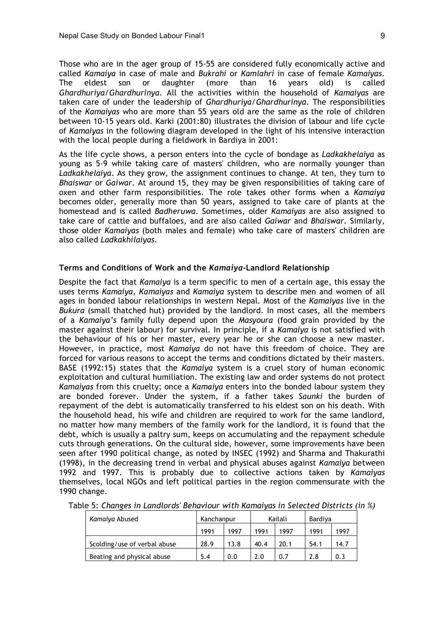Those who are in the ager group of 15-55 are considered fully economically active and called *Kamaiya* in case of male and *Bukrahi* or *Kamlahri* in case of female *Kamaiyas*. The eldest son or daughter (more than 16 years old) is called *Ghardhuriya/Ghardhurinya*. All the activities within the household of *Kamaiyas* are taken care of under the leadership of *Ghardhuriya/Ghardhurinya.* The responsibilities of the *Kamaiyas* who are more than 55 years old are the same as the role of children between 10-15 years old. Karki (2001:80) illustrates the division of labour and life cycle of *Kamaiyas* in the following diagram developed in the light of his intensive interaction with the local people during a fieldwork in Bardiya in 2001:

As the life cycle shows, a person enters into the cycle of bondage as *Ladkakhelaiya* as young as 5-9 while taking care of masters' children, who are normally younger than *Ladkakhelaiya*. As they grow, the assignment continues to change. At ten, they turn to *Bhaiswar* or *Gaiwar*. At around 15, they may be given responsibilities of taking care of oxen and other farm responsibilities. The role takes other forms when a *Kamaiya* becomes older, generally more than 50 years, assigned to take care of plants at the homestead and is called *Badheruwa*. Sometimes, older *Kamaiyas* are also assigned to take care of cattle and buffaloes, and are also called *Gaiwar* and *Bhaiswar.* Similarly, those older *Kamaiyas* (both males and female) who take care of masters' children are also called *Ladkakhilaiyas*.

#### **Terms and Conditions of Work and the** *Kamaiya***-Landlord Relationship**

Despite the fact that *Kamaiya* is a term specific to men of a certain age, this essay the uses terms *Kamaiya*, *Kamaiyas* and *Kamaiya* system to describe men and women of all ages in bonded labour relationships in western Nepal. Most of the *Kamaiyas* live in the *Bukura* (small thatched hut) provided by the landlord. In most cases, all the members of a *Kamaiya's* family fully depend upon the *Masyoura* (food grain provided by the master against their labour) for survival. In principle, if a *Kamaiya* is not satisfied with the behaviour of his or her master, every year he or she can choose a new master. However, in practice, most *Kamaiya* do not have this freedom of choice. They are forced for various reasons to accept the terms and conditions dictated by their masters. BASE (1992:15) states that the *Kamaiya* system is a cruel story of human economic exploitation and cultural humiliation. The existing law and order systems do not protect *Kamaiyas* from this cruelty; once a *Kamaiya* enters into the bonded labour system they are bonded forever. Under the system, if a father takes *Saunki* the burden of repayment of the debt is automatically transferred to his eldest son on his death. With the household head, his wife and children are required to work for the same landlord, no matter how many members of the family work for the landlord, it is found that the debt, which is usually a paltry sum, keeps on accumulating and the repayment schedule cuts through generations. On the cultural side, however, some improvements have been seen after 1990 political change, as noted by INSEC (1992) and Sharma and Thakurathi (1998), in the decreasing trend in verbal and physical abuses against *Kamaiya* between 1992 and 1997. This is probably due to collective actions taken by *Kamaiyas* themselves, local NGOs and left political parties in the region commensurate with the 1990 change.

| Kamaiya Abused               | Kanchanpur |      | Kailali |      | Bardiya |      |
|------------------------------|------------|------|---------|------|---------|------|
|                              | 1991       | 1997 | 1991    | 1997 | 1991    | 1997 |
| Scolding/use of verbal abuse | 28.9       | 13.8 | 40.4    | 20.1 | 54.1    | 14.7 |
| Beating and physical abuse   | 5.4        | 0.0  | 2.0     | 0.7  | 2.8     | 0.3  |

Table 5: *Changes in Landlords' Behaviour with Kamaiyas in Selected Districts (in %)*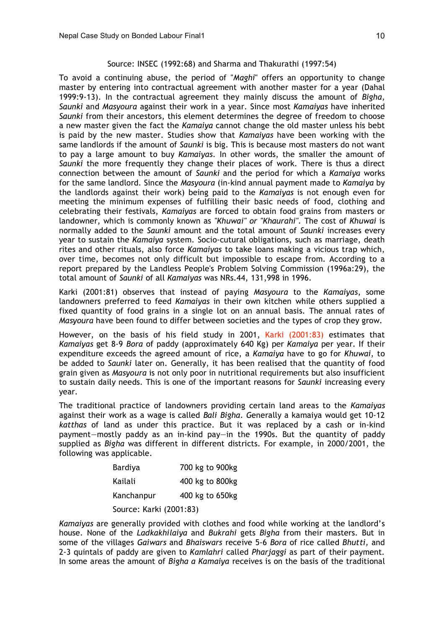### Source: INSEC (1992:68) and Sharma and Thakurathi (1997:54)

To avoid a continuing abuse, the period of "*Maghi*" offers an opportunity to change master by entering into contractual agreement with another master for a year (Dahal 1999:9-13). In the contractual agreement they mainly discuss the amount of *Bigha*, *Saunki* and *Masyoura* against their work in a year. Since most *Kamaiyas* have inherited *Saunki* from their ancestors, this element determines the degree of freedom to choose a new master given the fact the *Kamaiya* cannot change the old master unless his bebt is paid by the new master. Studies show that *Kamaiyas* have been working with the same landlords if the amount of *Saunki* is big. This is because most masters do not want to pay a large amount to buy *Kamaiyas*. In other words, the smaller the amount of *Saunki* the more frequently they change their places of work. There is thus a direct connection between the amount of *Saunki* and the period for which a *Kamaiya* works for the same landlord. Since the *Masyoura* (in-kind annual payment made to *Kamaiya* by the landlords against their work) being paid to the *Kamaiyas* is not enough even for meeting the minimum expenses of fulfilling their basic needs of food, clothing and celebrating their festivals, *Kamaiyas* are forced to obtain food grains from masters or landowner, which is commonly known as *"Khuwai" or "Khaurahi".* The cost of *Khuwai* is normally added to the *Saunki* amount and the total amount of *Saunki* increases every year to sustain the *Kamaiya* system. Socio-cutural obligations, such as marriage, death rites and other rituals, also force *Kamaiyas* to take loans making a vicious trap which, over time, becomes not only difficult but impossible to escape from. According to a report prepared by the Landless People's Problem Solving Commission (1996a:29), the total amount of *Saunki* of all *Kamaiyas* was NRs.44, 131,998 in 1996.

Karki (2001:81) observes that instead of paying *Masyoura* to the *Kamaiyas*, some landowners preferred to feed *Kamaiyas* in their own kitchen while others supplied a fixed quantity of food grains in a single lot on an annual basis. The annual rates of *Masyoura* have been found to differ between societies and the types of crop they grow.

However, on the basis of his field study in 2001, Karki (2001:83) estimates that *Kamaiyas* get 8-9 *Bora* of paddy (approximately 640 Kg) per *Kamaiya* per year. If their expenditure exceeds the agreed amount of rice, a *Kamaiya* have to go for *Khuwai*, to be added to *Saunki* later on. Generally, it has been realised that the quantity of food grain given as *Masyoura* is not only poor in nutritional requirements but also insufficient to sustain daily needs. This is one of the important reasons for *Saunki* increasing every year.

The traditional practice of landowners providing certain land areas to the *Kamaiyas* against their work as a wage is called *Bali Bigha. G*enerally a kamaiya would get 10-12 *katthas* of land as under this practice. But it was replaced by a cash or in-kind payment—mostly paddy as an in-kind pay—in the 1990s. But the quantity of paddy supplied as *Bigha* was different in different districts. For example, in 2000/2001, the following was applicable.

| Bardiya                 | 700 kg to 900kg |  |  |  |
|-------------------------|-----------------|--|--|--|
| Kailali                 | 400 kg to 800kg |  |  |  |
| Kanchanpur              | 400 kg to 650kg |  |  |  |
| Source: Karki (2001:83) |                 |  |  |  |

*Kamaiyas* are generally provided with clothes and food while working at the landlord's house. None of the *Ladkakhilaiya* and *Bukrahi* gets *Bigha* from their masters. But in some of the villages *Gaiwars* and *Bhaiswars* receive 5-6 *Bora* of rice called *Bhutti,* and 2-3 quintals of paddy are given to *Kamlahri* called *Pharjaggi* as part of their payment*.* In some areas the amount of *Bigha a Kamaiya* receives is on the basis of the traditional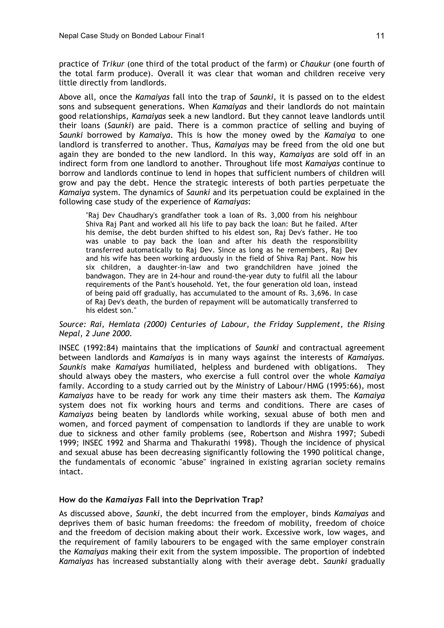practice of *Trikur* (one third of the total product of the farm) or *Chaukur* (one fourth of the total farm produce). Overall it was clear that woman and children receive very little directly from landlords.

Above all, once the *Kamaiyas* fall into the trap of *Saunki,* it is passed on to the eldest sons and subsequent generations. When *Kamaiyas* and their landlords do not maintain good relationships, *Kamaiyas* seek a new landlord. But they cannot leave landlords until their loans (*Saunki*) are paid. There is a common practice of selling and buying of *Saunki* borrowed by *Kamaiya*. This is how the money owed by the *Kamaiya* to one landlord is transferred to another. Thus, *Kamaiyas* may be freed from the old one but again they are bonded to the new landlord. In this way, *Kamaiyas* are sold off in an indirect form from one landlord to another. Throughout life most *Kamaiyas* continue to borrow and landlords continue to lend in hopes that sufficient numbers of children will grow and pay the debt. Hence the strategic interests of both parties perpetuate the *Kamaiya* system. The dynamics of *Saunki* and its perpetuation could be explained in the following case study of the experience of *Kamaiyas*:

"Raj Dev Chaudhary's grandfather took a loan of Rs. 3,000 from his neighbour Shiva Raj Pant and worked all his life to pay back the loan: But he failed. After his demise, the debt burden shifted to his eldest son, Raj Dev's father. He too was unable to pay back the loan and after his death the responsibility transferred automatically to Raj Dev. Since as long as he remembers, Raj Dev and his wife has been working arduously in the field of Shiva Raj Pant. Now his six children, a daughter-in-law and two grandchildren have joined the bandwagon. They are in 24-hour and round-the-year duty to fulfil all the labour requirements of the Pant's household. Yet, the four generation old loan, instead of being paid off gradually, has accumulated to the amount of Rs. 3,696. In case of Raj Dev's death, the burden of repayment will be automatically transferred to his eldest son."

#### *Source: Rai, Hemlata (2000) Centuries of Labour, the Friday Supplement, the Rising Nepal, 2 June 2000.*

INSEC (1992:84) maintains that the implications of *Saunki* and contractual agreement between landlords and *Kamaiyas* is in many ways against the interests of *Kamaiyas. Saunkis* make *Kamaiyas* humiliated, helpless and burdened with obligations. They should always obey the masters, who exercise a full control over the whole *Kamaiya* family. According to a study carried out by the Ministry of Labour/HMG (1995:66), most *Kamaiyas* have to be ready for work any time their masters ask them. The *Kamaiya* system does not fix working hours and terms and conditions. There are cases of *Kamaiyas* being beaten by landlords while working, sexual abuse of both men and women*,* and forced payment of compensation to landlords if they are unable to work due to sickness and other family problems (see, Robertson and Mishra 1997; Subedi 1999; INSEC 1992 and Sharma and Thakurathi 1998). Though the incidence of physical and sexual abuse has been decreasing significantly following the 1990 political change, the fundamentals of economic "abuse" ingrained in existing agrarian society remains intact.

#### **How do the** *Kamaiyas* **Fall into the Deprivation Trap?**

As discussed above, *Saunki*, the debt incurred from the employer, binds *Kamaiyas* and deprives them of basic human freedoms: the freedom of mobility, freedom of choice and the freedom of decision making about their work. Excessive work, low wages, and the requirement of family labourers to be engaged with the same employer constrain the *Kamaiyas* making their exit from the system impossible. The proportion of indebted *Kamaiyas* has increased substantially along with their average debt. *Saunki* gradually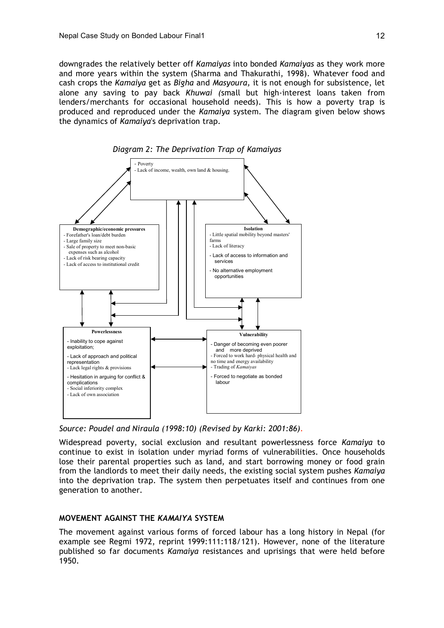downgrades the relatively better off *Kamaiyas* into bonded *Kamaiyas* as they work more and more years within the system (Sharma and Thakurathi, 1998). Whatever food and cash crops the *Kamaiya* get as *Bigha* and *Masyoura,* it is not enough for subsistence, let alone any saving to pay back *Khuwai (*small but high-interest loans taken from lenders/merchants for occasional household needs). This is how a poverty trap is produced and reproduced under the *Kamaiya* system. The diagram given below shows the dynamics of *Kamaiya*'s deprivation trap.



*Diagram 2: The Deprivation Trap of Kamaiyas*

*Source: Poudel and Niraula (1998:10) (Revised by Karki: 2001:86).*

Widespread poverty, social exclusion and resultant powerlessness force *Kamaiya* to continue to exist in isolation under myriad forms of vulnerabilities. Once households lose their parental properties such as land, and start borrowing money or food grain from the landlords to meet their daily needs, the existing social system pushes *Kamaiya* into the deprivation trap. The system then perpetuates itself and continues from one generation to another.

# **MOVEMENT AGAINST THE** *KAMAIYA* **SYSTEM**

The movement against various forms of forced labour has a long history in Nepal (for example see Regmi 1972, reprint 1999:111:118/121). However, none of the literature published so far documents *Kamaiya* resistances and uprisings that were held before 1950.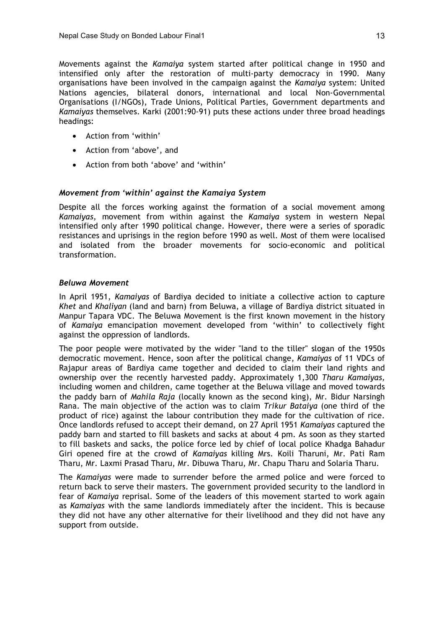Movements against the *Kamaiya* system started after political change in 1950 and intensified only after the restoration of multi-party democracy in 1990. Many organisations have been involved in the campaign against the *Kamaiya* system: United Nations agencies, bilateral donors, international and local Non-Governmental Organisations (I/NGOs), Trade Unions, Political Parties, Government departments and *Kamaiyas* themselves. Karki (2001:90-91) puts these actions under three broad headings headings:

- Action from 'within'
- Action from 'above', and
- Action from both 'above' and 'within'

### *Movement from 'within' against the Kamaiya System*

Despite all the forces working against the formation of a social movement among *Kamaiyas*, movement from within against the *Kamaiya* system in western Nepal intensified only after 1990 political change. However, there were a series of sporadic resistances and uprisings in the region before 1990 as well. Most of them were localised and isolated from the broader movements for socio-economic and political transformation.

#### *Beluwa Movement*

In April 1951, *Kamaiyas* of Bardiya decided to initiate a collective action to capture *Khet* and *Khaliyan* (land and barn) from Beluwa, a village of Bardiya district situated in Manpur Tapara VDC. The Beluwa Movement is the first known movement in the history of *Kamaiya* emancipation movement developed from 'within' to collectively fight against the oppression of landlords.

The poor people were motivated by the wider "land to the tiller" slogan of the 1950s democratic movement. Hence, soon after the political change, *Kamaiyas* of 11 VDCs of Rajapur areas of Bardiya came together and decided to claim their land rights and ownership over the recently harvested paddy. Approximately 1,300 *Tharu Kamaiyas,* including women and children, came together at the Beluwa village and moved towards the paddy barn of *Mahila Raja* (locally known as the second king), Mr. Bidur Narsingh Rana. The main objective of the action was to claim *Trikur Bataiya* (one third of the product of rice) against the labour contribution they made for the cultivation of rice. Once landlords refused to accept their demand, on 27 April 1951 *Kamaiyas* captured the paddy barn and started to fill baskets and sacks at about 4 pm. As soon as they started to fill baskets and sacks, the police force led by chief of local police Khadga Bahadur Giri opened fire at the crowd of *Kamaiyas* killing Mrs. Koili Tharuni, Mr. Pati Ram Tharu, Mr. Laxmi Prasad Tharu, Mr. Dibuwa Tharu, Mr. Chapu Tharu and Solaria Tharu.

The *Kamaiyas* were made to surrender before the armed police and were forced to return back to serve their masters. The government provided security to the landlord in fear of *Kamaiya* reprisal. Some of the leaders of this movement started to work again as *Kamaiyas* with the same landlords immediately after the incident. This is because they did not have any other alternative for their livelihood and they did not have any support from outside.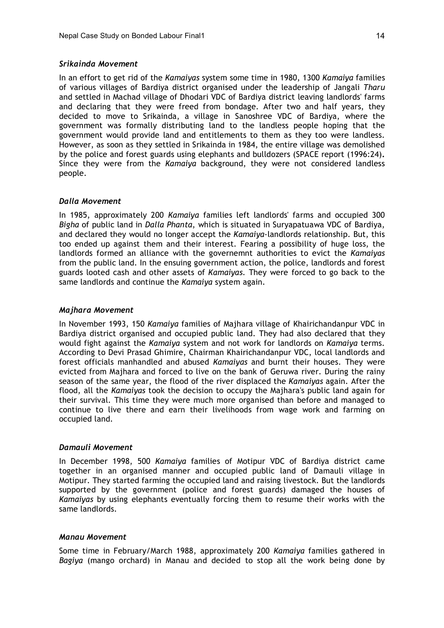#### *Srikainda Movement*

In an effort to get rid of the *Kamaiyas* system some time in 1980, 1300 *Kamaiya* families of various villages of Bardiya district organised under the leadership of Jangali *Tharu* and settled in Machad village of Dhodari VDC of Bardiya district leaving landlords' farms and declaring that they were freed from bondage. After two and half years, they decided to move to Srikainda, a village in Sanoshree VDC of Bardiya, where the government was formally distributing land to the landless people hoping that the government would provide land and entitlements to them as they too were landless. However, as soon as they settled in Srikainda in 1984, the entire village was demolished by the police and forest guards using elephants and bulldozers (SPACE report (1996:24)**.** Since they were from the *Kamaiya* background, they were not considered landless people.

### *Dalla Movement*

In 1985, approximately 200 *Kamaiya* families left landlords' farms and occupied 300 *Bigha* of public land in *Dalla Phanta*, which is situated in Suryapatuawa VDC of Bardiya, and declared they would no longer accept the *Kamaiya*-landlords relationship. But, this too ended up against them and their interest. Fearing a possibility of huge loss, the landlords formed an alliance with the governemnt authorities to evict the *Kamaiyas* from the public land. In the ensuing government action, the police, landlords and forest guards looted cash and other assets of *Kamaiyas.* They were forced to go back to the same landlords and continue the *Kamaiya* system again.

#### *Majhara Movement*

In November 1993, 150 *Kamaiya* families of Majhara village of Khairichandanpur VDC in Bardiya district organised and occupied public land. They had also declared that they would fight against the *Kamaiya* system and not work for landlords on *Kamaiya* terms. According to Devi Prasad Ghimire, Chairman Khairichandanpur VDC, local landlords and forest officials manhandled and abused *Kamaiyas* and burnt their houses. They were evicted from Majhara and forced to live on the bank of Geruwa river. During the rainy season of the same year, the flood of the river displaced the *Kamaiyas* again. After the flood, all the *Kamaiyas* took the decision to occupy the Majhara's public land again for their survival. This time they were much more organised than before and managed to continue to live there and earn their livelihoods from wage work and farming on occupied land.

#### *Damauli Movement*

In December 1998, 500 *Kamaiya* families of Motipur VDC of Bardiya district came together in an organised manner and occupied public land of Damauli village in Motipur. They started farming the occupied land and raising livestock. But the landlords supported by the government (police and forest guards) damaged the houses of *Kamaiyas* by using elephants eventually forcing them to resume their works with the same landlords.

#### *Manau Movement*

Some time in February/March 1988, approximately 200 *Kamaiya* families gathered in *Bagiya* (mango orchard) in Manau and decided to stop all the work being done by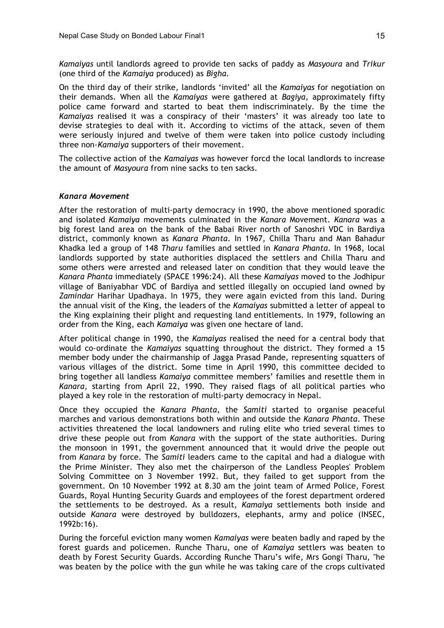*Kamaiyas* until landlords agreed to provide ten sacks of paddy as *Masyoura* and *Trikur* (one third of the *Kamaiya* produced) as *Bigha.*

On the third day of their strike, landlords 'invited' all the *Kamaiyas* for negotiation on their demands. When all the *Kamaiyas* were gathered at *Bagiya,* approximately fifty police came forward and started to beat them indiscriminately. By the time the *Kamaiyas* realised it was a conspiracy of their 'masters' it was already too late to devise strategies to deal with it. According to victims of the attack, seven of them were seriously injured and twelve of them were taken into police custody including three non-*Kamaiya* supporters of their movement.

The collective action of the *Kamaiyas* was however forcd the local landlords to increase the amount of *Masyoura* from nine sacks to ten sacks.

#### *Kanara Movement*

After the restoration of multi-party democracy in 1990, the above mentioned sporadic and isolated *Kamaiya* movements culminated in the *Kanara* Movement. *Kanara* was a big forest land area on the bank of the Babai River north of Sanoshri VDC in Bardiya district, commonly known as *Kanara Phanta*. In 1967, Chilla Tharu and Man Bahadur Khadka led a group of 148 *Tharu* families and settled in *Kanara Phanta*. In 1968, local landlords supported by state authorities displaced the settlers and Chilla Tharu and some others were arrested and released later on condition that they would leave the *Kanara Phanta* immediately (SPACE 1996:24). All these *Kamaiyas* moved to the Jodhipur village of Baniyabhar VDC of Bardiya and settled illegally on occupied land owned by *Zamindar* Harihar Upadhaya. In 1975, they were again evicted from this land. During the annual visit of the King, the leaders of the *Kamaiyas* submitted a letter of appeal to the King explaining their plight and requesting land entitlements. In 1979, following an order from the King, each *Kamaiya* was given one hectare of land.

After political change in 1990, the *Kamaiyas* realised the need for a central body that would co-ordinate the *Kamaiyas* squatting throughout the district. They formed a 15 member body under the chairmanship of Jagga Prasad Pande, representing squatters of various villages of the district. Some time in April 1990, this committee decided to bring together all landless *Kamaiya* committee members' families and resettle them in *Kanara,* starting from April 22, 1990. They raised flags of all political parties who played a key role in the restoration of multi-party democracy in Nepal.

Once they occupied the *Kanara Phanta*, the *Samiti* started to organise peaceful marches and various demonstrations both within and outside the *Kanara Phanta*. These activities threatened the local landowners and ruling elite who tried several times to drive these people out from *Kanara* with the support of the state authorities. During the monsoon in 1991, the government announced that it would drive the people out from *Kanara* by force. The *Samiti* leaders came to the capital and had a dialogue with the Prime Minister. They also met the chairperson of the Landless Peoples' Problem Solving Committee on 3 November 1992. But, they failed to get support from the government. On 10 November 1992 at 8.30 am the joint team of Armed Police, Forest Guards, Royal Hunting Security Guards and employees of the forest department ordered the settlements to be destroyed. As a result, *Kamaiya* settlements both inside and outside *Kanara* were destroyed by bulldozers, elephants, army and police (INSEC, 1992b:16).

During the forceful eviction many women *Kamaiyas* were beaten badly and raped by the forest guards and policemen. Runche Tharu, one of *Kamaiya* settlers was beaten to death by Forest Security Guards. According Runche Tharu's wife, Mrs Gongi Tharu, "he was beaten by the police with the gun while he was taking care of the crops cultivated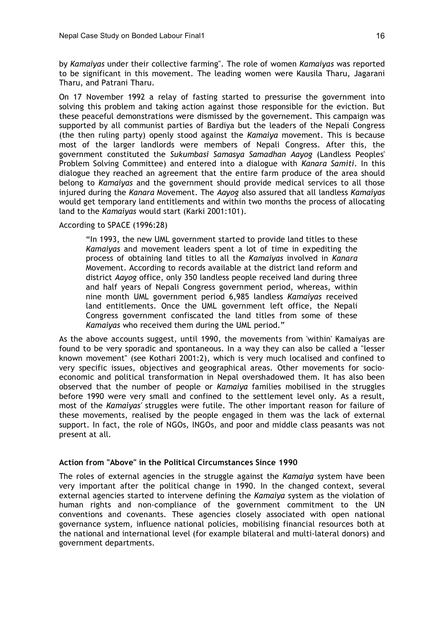by *Kamaiyas* under their collective farming". The role of women *Kamaiyas* was reported to be significant in this movement. The leading women were Kausila Tharu, Jagarani Tharu, and Patrani Tharu.

On 17 November 1992 a relay of fasting started to pressurise the government into solving this problem and taking action against those responsible for the eviction. But these peaceful demonstrations were dismissed by the governement. This campaign was supported by all communist parties of Bardiya but the leaders of the Nepali Congress (the then ruling party) openly stood against the *Kamaiya* movement. This is because most of the larger landlords were members of Nepali Congress. After this, the government constituted the *Sukumbasi Samasya Samadhan Aayog* (Landless Peoples' Problem Solving Committee) and entered into a dialogue with *Kanara Samiti*. In this dialogue they reached an agreement that the entire farm produce of the area should belong to *Kamaiyas* and the government should provide medical services to all those injured during the *Kanara* Movement. The *Aayog* also assured that all landless *Kamaiyas* would get temporary land entitlements and within two months the process of allocating land to the *Kamaiyas* would start (Karki 2001:101).

### According to SPACE (1996:28)

"In 1993, the new UML government started to provide land titles to these *Kamaiyas* and movement leaders spent a lot of time in expediting the process of obtaining land titles to all the *Kamaiyas* involved in *Kanara* Movement. According to records available at the district land reform and district *Aayog* office, only 350 landless people received land during three and half years of Nepali Congress government period, whereas, within nine month UML government period 6,985 landless *Kamaiyas* received land entitlements. Once the UML government left office, the Nepali Congress government confiscated the land titles from some of these *Kamaiyas* who received them during the UML period."

As the above accounts suggest, until 1990, the movements from 'within' Kamaiyas are found to be very sporadic and spontaneous. In a way they can also be called a "lesser known movement" (see Kothari 2001:2), which is very much localised and confined to very specific issues, objectives and geographical areas. Other movements for socioeconomic and political transformation in Nepal overshadowed them. It has also been observed that the number of people or *Kamaiya* families mobilised in the struggles before 1990 were very small and confined to the settlement level only. As a result, most of the *Kamaiyas'* struggles were futile. The other important reason for failure of these movements, realised by the people engaged in them was the lack of external support. In fact, the role of NGOs, INGOs, and poor and middle class peasants was not present at all.

#### **Action from "Above" in the Political Circumstances Since 1990**

The roles of external agencies in the struggle against the *Kamaiya* system have been very important after the political change in 1990. In the changed context, several external agencies started to intervene defining the *Kamaiya* system as the violation of human rights and non-compliance of the government commitment to the UN conventions and covenants. These agencies closely associated with open national governance system, influence national policies, mobilising financial resources both at the national and international level (for example bilateral and multi-lateral donors) and government departments.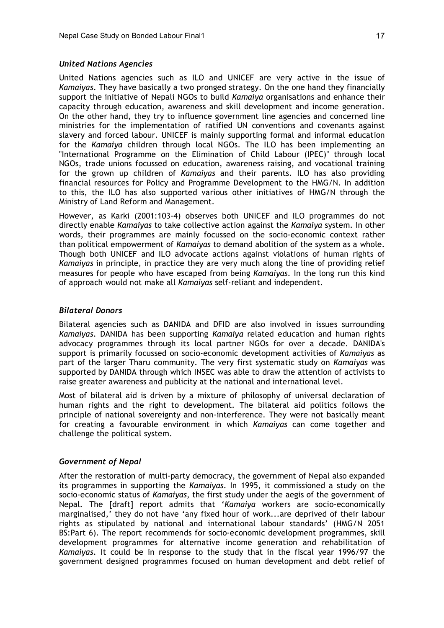### *United Nations Agencies*

United Nations agencies such as ILO and UNICEF are very active in the issue of *Kamaiyas*. They have basically a two pronged strategy. On the one hand they financially support the initiative of Nepali NGOs to build *Kamaiya* organisations and enhance their capacity through education, awareness and skill development and income generation. On the other hand, they try to influence government line agencies and concerned line ministries for the implementation of ratified UN conventions and covenants against slavery and forced labour. UNICEF is mainly supporting formal and informal education for the *Kamaiya* children through local NGOs. The ILO has been implementing an "International Programme on the Elimination of Child Labour (IPEC)" through local NGOs, trade unions focussed on education, awareness raising, and vocational training for the grown up children of *Kamaiyas* and their parents. ILO has also providing financial resources for Policy and Programme Development to the HMG/N. In addition to this, the ILO has also supported various other initiatives of HMG/N through the Ministry of Land Reform and Management.

However, as Karki (2001:103-4) observes both UNICEF and ILO programmes do not directly enable *Kamaiyas* to take collective action against the *Kamaiya* system. In other words, their programmes are mainly focussed on the socio-economic context rather than political empowerment of *Kamaiyas* to demand abolition of the system as a whole. Though both UNICEF and ILO advocate actions against violations of human rights of *Kamaiyas* in principle, in practice they are very much along the line of providing relief measures for people who have escaped from being *Kamaiyas*. In the long run this kind of approach would not make all *Kamaiyas* self-reliant and independent.

## *Bilateral Donors*

Bilateral agencies such as DANIDA and DFID are also involved in issues surrounding *Kamaiyas*. DANIDA has been supporting *Kamaiya* related education and human rights advocacy programmes through its local partner NGOs for over a decade. DANIDA's support is primarily focussed on socio-economic development activities of *Kamaiyas* as part of the larger Tharu community. The very first systematic study on *Kamaiyas* was supported by DANIDA through which INSEC was able to draw the attention of activists to raise greater awareness and publicity at the national and international level.

Most of bilateral aid is driven by a mixture of philosophy of universal declaration of human rights and the right to development. The bilateral aid politics follows the principle of national sovereignty and non-interference. They were not basically meant for creating a favourable environment in which *Kamaiyas* can come together and challenge the political system.

### *Government of Nepal*

After the restoration of multi-party democracy, the government of Nepal also expanded its programmes in supporting the *Kamaiyas*. In 1995, it commissioned a study on the socio-economic status of *Kamaiyas*, the first study under the aegis of the government of Nepal. The [draft] report admits that '*Kamaiya* workers are socio-economically marginalised,' they do not have 'any fixed hour of work...are deprived of their labour rights as stipulated by national and international labour standards' (HMG/N 2051 BS:Part 6). The report recommends for socio-economic development programmes, skill development programmes for alternative income generation and rehabilitation of *Kamaiyas*. It could be in response to the study that in the fiscal year 1996/97 the government designed programmes focused on human development and debt relief of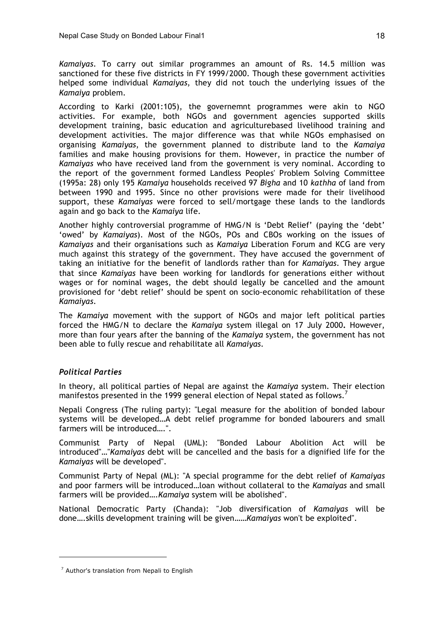*Kamaiyas*. To carry out similar programmes an amount of Rs. 14.5 million was sanctioned for these five districts in FY 1999/2000. Though these government activities helped some individual *Kamaiyas*, they did not touch the underlying issues of the *Kamaiya* problem.

According to Karki (2001:105), the governemnt programmes were akin to NGO activities. For example, both NGOs and government agencies supported skills development training, basic education and agriculturebased livelihood training and development activities. The major difference was that while NGOs emphasised on organising *Kamaiyas*, the government planned to distribute land to the *Kamaiya* families and make housing provisions for them. However, in practice the number of *Kamaiyas* who have received land from the government is very nominal. According to the report of the government formed Landless Peoples' Problem Solving Committee (1995a: 28) only 195 *Kamaiya* households received 97 *Bigha* and 10 *kathha* of land from between 1990 and 1995. Since no other provisions were made for their livelihood support, these *Kamaiyas* were forced to sell/mortgage these lands to the landlords again and go back to the *Kamaiya* life.

Another highly controversial programme of HMG/N is 'Debt Relief' (paying the 'debt' 'owed' by *Kamaiyas*). Most of the NGOs, POs and CBOs working on the issues of *Kamaiyas* and their organisations such as *Kamaiya* Liberation Forum and KCG are very much against this strategy of the government. They have accused the government of taking an initiative for the benefit of landlords rather than for *Kamaiyas*. They argue that since *Kamaiyas* have been working for landlords for generations either without wages or for nominal wages, the debt should legally be cancelled and the amount provisioned for 'debt relief' should be spent on socio-economic rehabilitation of these *Kamaiyas*.

The *Kamaiya* movement with the support of NGOs and major left political parties forced the HMG/N to declare the *Kamaiya* system illegal on 17 July 2000**.** However, more than four years after the banning of the *Kamaiya* system, the government has not been able to fully rescue and rehabilitate all *Kamaiyas*.

# *Political Parties*

 $\overline{a}$ 

In theory, all political parties of Nepal are against the *Kamaiya* system. Their election manifestos presented in the 1999 general election of Nepal stated as follows.<sup>7</sup>

Nepali Congress (The ruling party): "Legal measure for the abolition of bonded labour systems will be developed…A debt relief programme for bonded labourers and small farmers will be introduced….".

Communist Party of Nepal (UML): "Bonded Labour Abolition Act will be introduced"…"*Kamaiyas* debt will be cancelled and the basis for a dignified life for the *Kamaiyas* will be developed".

Communist Party of Nepal (ML): "A special programme for the debt relief of *Kamaiyas* and poor farmers will be introduced…loan without collateral to the *Kamaiyas* and small farmers will be provided….*Kamaiya* system will be abolished".

National Democratic Party (Chanda): "Job diversification of *Kamaiyas* will be done….skills development training will be given……*Kamaiyas* won't be exploited".

 $<sup>7</sup>$  Author's translation from Nepali to English</sup>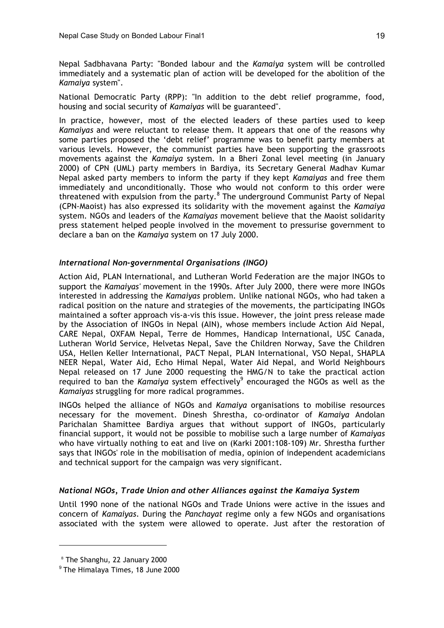Nepal Sadbhavana Party: "Bonded labour and the *Kamaiya* system will be controlled immediately and a systematic plan of action will be developed for the abolition of the *Kamaiya* system".

National Democratic Party (RPP): "In addition to the debt relief programme, food, housing and social security of *Kamaiyas* will be guaranteed".

In practice, however, most of the elected leaders of these parties used to keep *Kamaiyas* and were reluctant to release them. It appears that one of the reasons why some parties proposed the 'debt relief' programme was to benefit party members at various levels. However, the communist parties have been supporting the grassroots movements against the *Kamaiya* system. In a Bheri Zonal level meeting (in January 2000) of CPN (UML) party members in Bardiya, its Secretary General Madhav Kumar Nepal asked party members to inform the party if they kept *Kamaiyas* and free them immediately and unconditionally. Those who would not conform to this order were threatened with expulsion from the party.<sup>8</sup> The underground Communist Party of Nepal (CPN-Maoist) has also expressed its solidarity with the movement against the *Kamaiya* system. NGOs and leaders of the *Kamaiyas* movement believe that the Maoist solidarity press statement helped people involved in the movement to pressurise government to declare a ban on the *Kamaiya* system on 17 July 2000.

# *International Non-governmental Organisations (INGO)*

Action Aid, PLAN International, and Lutheran World Federation are the major INGOs to support the *Kamaiyas'* movement in the 1990s. After July 2000, there were more INGOs interested in addressing the *Kamaiyas* problem. Unlike national NGOs, who had taken a radical position on the nature and strategies of the movements, the participating INGOs maintained a softer approach vis-a-vis this issue. However, the joint press release made by the Association of INGOs in Nepal (AIN), whose members include Action Aid Nepal, CARE Nepal, OXFAM Nepal, Terre de Hommes, Handicap International, USC Canada, Lutheran World Service, Helvetas Nepal, Save the Children Norway, Save the Children USA, Hellen Keller International, PACT Nepal, PLAN International, VSO Nepal, SHAPLA NEER Nepal, Water Aid, Echo Himal Nepal, Water Aid Nepal, and World Neighbours Nepal released on 17 June 2000 requesting the HMG/N to take the practical action required to ban the *Kamaiya* system effectively<sup>9</sup> encouraged the NGOs as well as the *Kamaiyas* struggling for more radical programmes.

INGOs helped the alliance of NGOs and *Kamaiya* organisations to mobilise resources necessary for the movement. Dinesh Shrestha, co-ordinator of *Kamaiya* Andolan Parichalan Shamittee Bardiya argues that without support of INGOs, particularly financial support, it would not be possible to mobilise such a large number of *Kamaiyas* who have virtually nothing to eat and live on (Karki 2001:108-109) Mr. Shrestha further says that INGOs' role in the mobilisation of media, opinion of independent academicians and technical support for the campaign was very significant.

### *National NGOs, Trade Union and other Alliances against the Kamaiya System*

Until 1990 none of the national NGOs and Trade Unions were active in the issues and concern of *Kamaiyas*. During the *Panchayat* regime only a few NGOs and organisations associated with the system were allowed to operate. Just after the restoration of

<sup>8</sup> The Shanghu, 22 January 2000

 $^9$  The Himalaya Times, 18 June 2000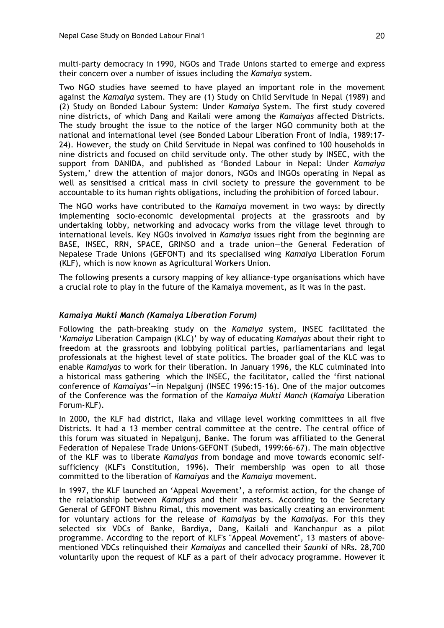multi-party democracy in 1990, NGOs and Trade Unions started to emerge and express their concern over a number of issues including the *Kamaiya* system.

Two NGO studies have seemed to have played an important role in the movement against the *Kamaiya* system. They are (1) Study on Child Servitude in Nepal (1989) and (2) Study on Bonded Labour System: Under *Kamaiya* System. The first study covered nine districts, of which Dang and Kailali were among the *Kamaiyas* affected Districts. The study brought the issue to the notice of the larger NGO community both at the national and international level (see Bonded Labour Liberation Front of India, 1989:17- 24). However, the study on Child Servitude in Nepal was confined to 100 households in nine districts and focused on child servitude only. The other study by INSEC, with the support from DANIDA, and published as 'Bonded Labour in Nepal: Under *Kamaiya* System,' drew the attention of major donors, NGOs and INGOs operating in Nepal as well as sensitised a critical mass in civil society to pressure the government to be accountable to its human rights obligations, including the prohibition of forced labour.

The NGO works have contributed to the *Kamaiya* movement in two ways: by directly implementing socio-economic developmental projects at the grassroots and by undertaking lobby, networking and advocacy works from the village level through to international levels. Key NGOs involved in *Kamaiya* issues right from the beginning are BASE, INSEC, RRN, SPACE, GRINSO and a trade union—the General Federation of Nepalese Trade Unions (GEFONT) and its specialised wing *Kamaiya* Liberation Forum (KLF), which is now known as Agricultural Workers Union.

The following presents a cursory mapping of key alliance-type organisations which have a crucial role to play in the future of the Kamaiya movement, as it was in the past.

### *Kamaiya Mukti Manch (Kamaiya Liberation Forum)*

Following the path-breaking study on the *Kamaiya* system, INSEC facilitated the '*Kamaiya* Liberation Campaign (KLC)' by way of educating *Kamaiyas* about their right to freedom at the grassroots and lobbying political parties, parliamentarians and legal professionals at the highest level of state politics. The broader goal of the KLC was to enable *Kamaiyas* to work for their liberation. In January 1996, the KLC culminated into a historical mass gathering—which the INSEC, the facilitator, called the 'first national conference of *Kamaiyas'—*in Nepalgunj (INSEC 1996:15-16). One of the major outcomes of the Conference was the formation of the *Kamaiya Mukti Manch* (*Kamaiya* Liberation Forum-KLF).

In 2000, the KLF had district, Ilaka and village level working committees in all five Districts. It had a 13 member central committee at the centre. The central office of this forum was situated in Nepalgunj, Banke. The forum was affiliated to the General Federation of Nepalese Trade Unions-GEFONT (Subedi, 1999:66-67). The main objective of the KLF was to liberate *Kamaiyas* from bondage and move towards economic selfsufficiency (KLF's Constitution, 1996). Their membership was open to all those committed to the liberation of *Kamaiyas* and the *Kamaiya* movement.

In 1997, the KLF launched an 'Appeal Movement', a reformist action, for the change of the relationship between *Kamaiyas* and their masters. According to the Secretary General of GEFONT Bishnu Rimal, this movement was basically creating an environment for voluntary actions for the release of *Kamaiyas* by the *Kamaiyas*. For this they selected six VDCs of Banke, Bardiya, Dang, Kailali and Kanchanpur as a pilot programme. According to the report of KLF's "Appeal Movement", 13 masters of abovementioned VDCs relinquished their *Kamaiyas* and cancelled their *Saunki* of NRs. 28,700 voluntarily upon the request of KLF as a part of their advocacy programme. However it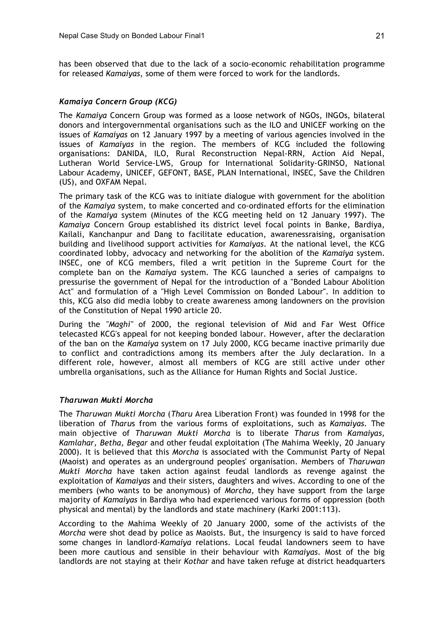has been observed that due to the lack of a socio-economic rehabilitation programme for released *Kamaiyas*, some of them were forced to work for the landlords.

### *Kamaiya Concern Group (KCG)*

The *Kamaiya* Concern Group was formed as a loose network of NGOs, INGOs, bilateral donors and intergovernmental organisations such as the ILO and UNICEF working on the issues of *Kamaiyas* on 12 January 1997 by a meeting of various agencies involved in the issues of *Kamaiyas* in the region. The members of KCG included the following organisations: DANIDA, ILO, Rural Reconstruction Nepal-RRN, Action Aid Nepal, Lutheran World Service-LWS, Group for International Solidarity-GRINSO, National Labour Academy, UNICEF, GEFONT, BASE, PLAN International, INSEC, Save the Children (US), and OXFAM Nepal.

The primary task of the KCG was to initiate dialogue with government for the abolition of the *Kamaiya* system, to make concerted and co-ordinated efforts for the elimination of the *Kamaiya* system (Minutes of the KCG meeting held on 12 January 1997). The *Kamaiya* Concern Group established its district level focal points in Banke, Bardiya, Kailali, Kanchanpur and Dang to facilitate education, awarenessraising, organisation building and livelihood support activities for *Kamaiyas*. At the national level, the KCG coordinated lobby, advocacy and networking for the abolition of the *Kamaiya* system. INSEC, one of KCG members, filed a writ petition in the Supreme Court for the complete ban on the *Kamaiya* system. The KCG launched a series of campaigns to pressurise the government of Nepal for the introduction of a "Bonded Labour Abolition Act" and formulation of a "High Level Commission on Bonded Labour". In addition to this, KCG also did media lobby to create awareness among landowners on the provision of the Constitution of Nepal 1990 article 20.

During the *"Maghi"* of 2000, the regional television of Mid and Far West Office telecasted KCG's appeal for not keeping bonded labour. However, after the declaration of the ban on the *Kamaiya* system on 17 July 2000, KCG became inactive primarily due to conflict and contradictions among its members after the July declaration. In a different role, however, almost all members of KCG are still active under other umbrella organisations, such as the Alliance for Human Rights and Social Justice.

### *Tharuwan Mukti Morcha*

The *Tharuwan Mukti Morcha* (*Tharu* Area Liberation Front) was founded in 1998 for the liberation of *Tharu*s from the various forms of exploitations, such as *Kamaiyas*. The main objective of *Tharuwan Mukti Morcha* is to liberate *Tharus* from *Kamaiyas, Kamlahar, Betha, Begar* and other feudal exploitation (The Mahima Weekly, 20 January 2000). It is believed that this *Morcha* is associated with the Communist Party of Nepal (Maoist) and operates as an underground peoples' organisation. Members of *Tharuwan Mukti Morcha* have taken action against feudal landlords as revenge against the exploitation of *Kamaiyas* and their sisters, daughters and wives. According to one of the members (who wants to be anonymous) of *Morcha*, they have support from the large majority of *Kamaiyas* in Bardiya who had experienced various forms of oppression (both physical and mental) by the landlords and state machinery (Karki 2001:113).

According to the Mahima Weekly of 20 January 2000, some of the activists of the *Morcha* were shot dead by police as Maoists. But, the insurgency is said to have forced some changes in landlord-*Kamaiya* relations. Local feudal landowners seem to have been more cautious and sensible in their behaviour with *Kamaiyas*. Most of the big landlords are not staying at their *Kothar* and have taken refuge at district headquarters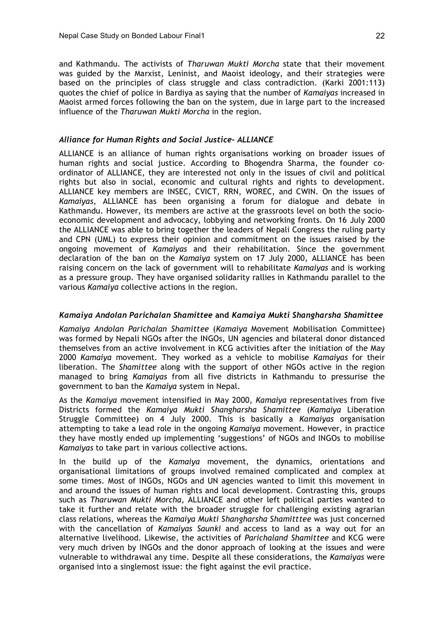and Kathmandu. The activists of *Tharuwan Mukti Morcha* state that their movement was guided by the Marxist, Leninist, and Maoist ideology, and their strategies were based on the principles of class struggle and class contradiction. (Karki 2001:113) quotes the chief of police in Bardiya as saying that the number of *Kamaiyas* increased in Maoist armed forces following the ban on the system, due in large part to the increased influence of the *Tharuwan Mukti Morcha* in the region.

## *Alliance for Human Rights and Social Justice- ALLIANCE*

ALLIANCE is an alliance of human rights organisations working on broader issues of human rights and social justice. According to Bhogendra Sharma, the founder coordinator of ALLIANCE, they are interested not only in the issues of civil and political rights but also in social, economic and cultural rights and rights to development. ALLIANCE key members are INSEC, CVICT, RRN, WOREC, and CWIN. On the issues of *Kamaiyas*, ALLIANCE has been organising a forum for dialogue and debate in Kathmandu. However, its members are active at the grassroots level on both the socioeconomic development and advocacy, lobbying and networking fronts. On 16 July 2000 the ALLIANCE was able to bring together the leaders of Nepali Congress the ruling party and CPN (UML) to express their opinion and commitment on the issues raised by the ongoing movement of *Kamaiyas* and their rehabilitation. Since the government declaration of the ban on the *Kamaiya* system on 17 July 2000, ALLIANCE has been raising concern on the lack of government will to rehabilitate *Kamaiyas* and is working as a pressure group. They have organised solidarity rallies in Kathmandu parallel to the various *Kamaiya* collective actions in the region.

## *Kamaiya Andolan Parichalan Shamittee* **and** *Kamaiya Mukti Shangharsha Shamittee*

*Kamaiya Andolan Parichalan Shamittee* (*Kamaiya* Movement Mobilisation Committee) was formed by Nepali NGOs after the INGOs, UN agencies and bilateral donor distanced themselves from an active involvement in KCG activities after the initiation of the May 2000 *Kamaiya* movement. They worked as a vehicle to mobilise *Kamaiyas* for their liberation. The *Shamittee* along with the support of other NGOs active in the region managed to bring *Kamaiyas* from all five districts in Kathmandu to pressurise the government to ban the *Kamaiya* system in Nepal.

As the *Kamaiya* movement intensified in May 2000, *Kamaiya* representatives from five Districts formed the *Kamaiya Mukti Shangharsha Shamittee* (*Kamaiya* Liberation Struggle Committee) on 4 July 2000. This is basically a *Kamaiyas* organisation attempting to take a lead role in the ongoing *Kamaiya* movement. However, in practice they have mostly ended up implementing 'suggestions' of NGOs and INGOs to mobilise *Kamaiyas* to take part in various collective actions.

In the build up of the *Kamaiya* movement, the dynamics, orientations and organisational limitations of groups involved remained complicated and complex at some times. Most of INGOs, NGOs and UN agencies wanted to limit this movement in and around the issues of human rights and local development. Contrasting this, groups such as *Tharuwan Mukti Morcha*, ALLIANCE and other left political parties wanted to take it further and relate with the broader struggle for challenging existing agrarian class relations, whereas the *Kamaiya Mukti Shangharsha Shamitttee* was just concerned with the cancellation of *Kamaiyas Saunki* and access to land as a way out for an alternative livelihood. Likewise, the activities of *Parichaland Shamittee* and KCG were very much driven by INGOs and the donor approach of looking at the issues and were vulnerable to withdrawal any time. Despite all these considerations, the *Kamaiyas* were organised into a singlemost issue: the fight against the evil practice.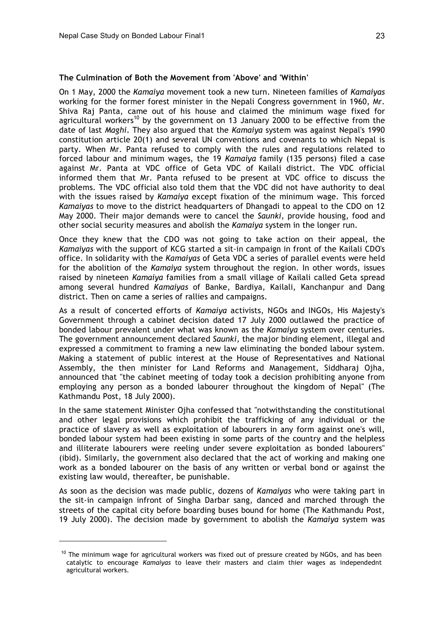#### **The Culmination of Both the Movement from 'Above' and 'Within'**

On 1 May, 2000 the *Kamaiya* movement took a new turn. Nineteen families of *Kamaiyas* working for the former forest minister in the Nepali Congress government in 1960, Mr. Shiva Raj Panta, came out of his house and claimed the minimum wage fixed for agricultural workers<sup>10</sup> by the government on 13 January 2000 to be effective from the date of last *Maghi*. They also argued that the *Kamaiya* system was against Nepal's 1990 constitution article 20(1) and several UN conventions and covenants to which Nepal is party. When Mr. Panta refused to comply with the rules and regulations related to forced labour and minimum wages, the 19 *Kamaiya* family (135 persons) filed a case against Mr. Panta at VDC office of Geta VDC of Kailali district. The VDC official informed them that Mr. Panta refused to be present at VDC office to discuss the problems. The VDC official also told them that the VDC did not have authority to deal with the issues raised by *Kamaiya* except fixation of the minimum wage. This forced *Kamaiyas* to move to the district headquarters of Dhangadi to appeal to the CDO on 12 May 2000. Their major demands were to cancel the *Saunki,* provide housing, food and other social security measures and abolish the *Kamaiya* system in the longer run.

Once they knew that the CDO was not going to take action on their appeal, the *Kamaiyas* with the support of KCG started a sit-in campaign in front of the Kailali CDO's office. In solidarity with the *Kamaiyas* of Geta VDC a series of parallel events were held for the abolition of the *Kamaiya* system throughout the region. In other words, issues raised by nineteen *Kamaiya* families from a small village of Kailali called Geta spread among several hundred *Kamaiyas* of Banke, Bardiya, Kailali, Kanchanpur and Dang district. Then on came a series of rallies and campaigns.

As a result of concerted efforts of *Kamaiya* activists, NGOs and INGOs, His Majesty's Government through a cabinet decision dated 17 July 2000 outlawed the practice of bonded labour prevalent under what was known as the *Kamaiya* system over centuries. The government announcement declared *Saunki,* the major binding element, illegal and expressed a commitment to framing a new law eliminating the bonded labour system. Making a statement of public interest at the House of Representatives and National Assembly, the then minister for Land Reforms and Management, Siddharaj Ojha, announced that "the cabinet meeting of today took a decision prohibiting anyone from employing any person as a bonded labourer throughout the kingdom of Nepal" (The Kathmandu Post, 18 July 2000).

In the same statement Minister Ojha confessed that "notwithstanding the constitutional and other legal provisions which prohibit the trafficking of any individual or the practice of slavery as well as exploitation of labourers in any form against one's will, bonded labour system had been existing in some parts of the country and the helpless and illiterate labourers were reeling under severe exploitation as bonded labourers" (ibid). Similarly, the government also declared that the act of working and making one work as a bonded labourer on the basis of any written or verbal bond or against the existing law would, thereafter, be punishable.

As soon as the decision was made public, dozens of *Kamaiyas* who were taking part in the sit-in campaign infront of Singha Darbar sang, danced and marched through the streets of the capital city before boarding buses bound for home (The Kathmandu Post, 19 July 2000). The decision made by government to abolish the *Kamaiya* system was

 $10$  The minimum wage for agricultural workers was fixed out of pressure created by NGOs, and has been catalytic to encourage *Kamaiyas* to leave their masters and claim thier wages as independednt agricultural workers.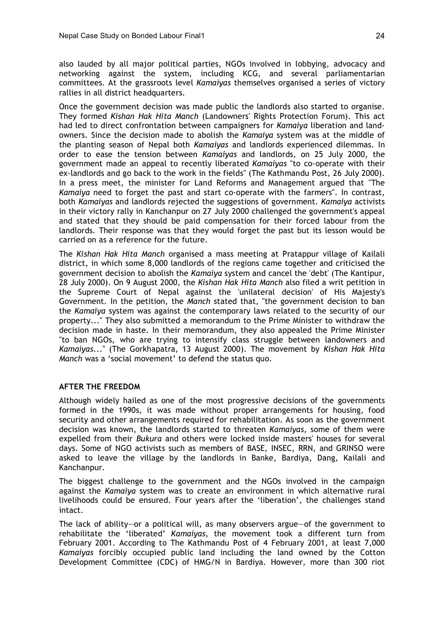also lauded by all major political parties, NGOs involved in lobbying, advocacy and networking against the system, including KCG, and several parliamentarian committees. At the grassroots level *Kamaiyas* themselves organised a series of victory rallies in all district headquarters.

Once the government decision was made public the landlords also started to organise. They formed *Kishan Hak Hita Manch* (Landowners' Rights Protection Forum). This act had led to direct confrontation between campaigners for *Kamaiya* liberation and landowners. Since the decision made to abolish the *Kamaiya* system was at the middle of the planting season of Nepal both *Kamaiyas* and landlords experienced dilemmas. In order to ease the tension between *Kamaiyas* and landlords, on 25 July 2000, the government made an appeal to recently liberated *Kamaiyas* "to co-operate with their ex-landlords and go back to the work in the fields" (The Kathmandu Post, 26 July 2000). In a press meet, the minister for Land Reforms and Management argued that "The *Kamaiya* need to forget the past and start co-operate with the farmers". In contrast, both *Kamaiyas* and landlords rejected the suggestions of government. *Kamaiya* activists in their victory rally in Kanchanpur on 27 July 2000 challenged the government's appeal and stated that they should be paid compensation for their forced labour from the landlords. Their response was that they would forget the past but its lesson would be carried on as a reference for the future.

The *Kishan Hak Hita Manch* organised a mass meeting at Pratappur village of Kailali district, in which some 8,000 landlords of the regions came together and criticised the government decision to abolish the *Kamaiya* system and cancel the 'debt' (The Kantipur, 28 July 2000). On 9 August 2000, the *Kishan Hak Hita Manch* also filed a writ petition in the Supreme Court of Nepal against the 'unilateral decision' of His Majesty's Government. In the petition, the *Manch* stated that, "the government decision to ban the *Kamaiya* system was against the contemporary laws related to the security of our property..." They also submitted a memorandum to the Prime Minister to withdraw the decision made in haste. In their memorandum, they also appealed the Prime Minister "to ban NGOs, who are trying to intensify class struggle between landowners and *Kamaiyas*..." (The Gorkhapatra, 13 August 2000). The movement by *Kishan Hak Hita Manch* was a 'social movement' to defend the status quo.

### **AFTER THE FREEDOM**

Although widely hailed as one of the most progressive decisions of the governments formed in the 1990s, it was made without proper arrangements for housing, food security and other arrangements required for rehabilitation. As soon as the government decision was known, the landlords started to threaten *Kamaiyas,* some of them were expelled from their *Bukura* and others were locked inside masters' houses for several days. Some of NGO activists such as members of BASE, INSEC, RRN, and GRINSO were asked to leave the village by the landlords in Banke, Bardiya, Dang, Kailali and Kanchanpur.

The biggest challenge to the government and the NGOs involved in the campaign against the *Kamaiya* system was to create an environment in which alternative rural livelihoods could be ensured. Four years after the 'liberation', the challenges stand intact.

The lack of ability—or a political will, as many observers argue—of the government to rehabilitate the 'liberated' *Kamaiyas*, the movement took a different turn from February 2001. According to The Kathmandu Post of 4 February 2001, at least 7,000 *Kamaiyas* forcibly occupied public land including the land owned by the Cotton Development Committee (CDC) of HMG/N in Bardiya. However, more than 300 riot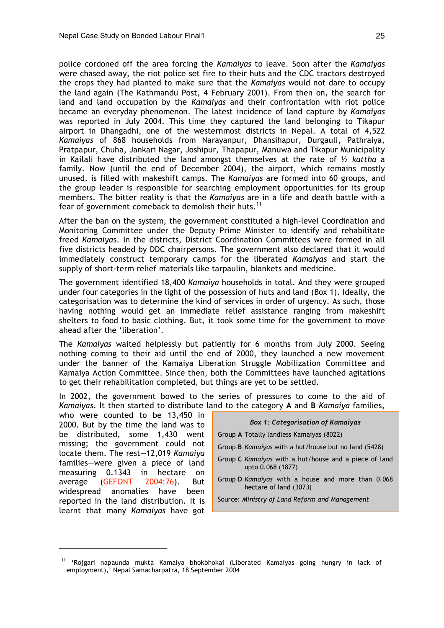police cordoned off the area forcing the *Kamaiyas* to leave. Soon after the *Kamaiyas* were chased away, the riot police set fire to their huts and the CDC tractors destroyed the crops they had planted to make sure that the *Kamaiyas* would not dare to occupy the land again (The Kathmandu Post, 4 February 2001). From then on, the search for land and land occupation by the *Kamaiyas* and their confrontation with riot police became an everyday phenomenon. The latest incidence of land capture by *Kamaiyas* was reported in July 2004. This time they captured the land belonging to Tikapur airport in Dhangadhi, one of the westernmost districts in Nepal. A total of 4,522 *Kamaiyas* of 868 households from Narayanpur, Dhansihapur, Durgauli, Pathraiya, Pratpapur, Chuha, Jankari Nagar, Joshipur, Thapapur, Manuwa and Tikapur Municipality in Kailali have distributed the land amongst themselves at the rate of ½ *kattha* a family. Now (until the end of December 2004), the airport, which remains mostly unused, is filled with makeshift camps. The *Kamaiyas* are formed into 60 groups, and the group leader is responsible for searching employment opportunities for its group members. The bitter reality is that the *Kamaiyas* are in a life and death battle with a fear of government comeback to demolish their huts.<sup>11</sup>

After the ban on the system, the government constituted a high-level Coordination and Monitoring Committee under the Deputy Prime Minister to identify and rehabilitate freed *Kamaiya*s. In the districts, District Coordination Committees were formed in all five districts headed by DDC chairpersons. The government also declared that it would immediately construct temporary camps for the liberated *Kamaiyas* and start the supply of short-term relief materials like tarpaulin, blankets and medicine.

The government identified 18,400 *Kamaiya* households in total. And they were grouped under four categories in the light of the possession of huts and land (Box 1). Ideally, the categorisation was to determine the kind of services in order of urgency. As such, those having nothing would get an immediate relief assistance ranging from makeshift shelters to food to basic clothing. But, it took some time for the government to move ahead after the 'liberation'.

The *Kamaiyas* waited helplessly but patiently for 6 months from July 2000. Seeing nothing coming to their aid until the end of 2000, they launched a new movement under the banner of the Kamaiya Liberation Struggle Mobilization Committee and Kamaiya Action Committee. Since then, both the Committees have launched agitations to get their rehabilitation completed, but things are yet to be settled.

In 2002, the government bowed to the series of pressures to come to the aid of *Kamaiyas*. It then started to distribute land to the category **A** and **B** *Kamaiya* families*,*

who were counted to be 13,450 in 2000*.* But by the time the land was to be distributed, some 1,430 went missing; the government could not locate them. The rest—12,019 *Kamaiya* families—were given a piece of land measuring 0.1343 in hectare on average (GEFONT 2004:76). But widespread anomalies have been reported in the land distribution. It is learnt that many *Kamaiyas* have got

 $\overline{a}$ 

|  | <b>Box 1: Categorisation of Kamaiyas</b> |  |
|--|------------------------------------------|--|
|--|------------------------------------------|--|

- Group **A** Totally landless Kamaiyas (8022)
- Group **B** *Kamaiyas* with a hut/house but no land (5428)
- Group **C** *Kamaiyas* with a hut/house and a piece of land upto 0.068 (1877)
- Group **D** *Kamaiyas* with a house and more than 0.068 hectare of land (3073)
- Source: *Ministry of Land Reform and Management*

<sup>11</sup> 'Rojgari napaunda mukta Kamaiya bhokbhokai (Liberated Kamaiyas going hungry in lack of employment),' Nepal Samacharpatra, 18 September 2004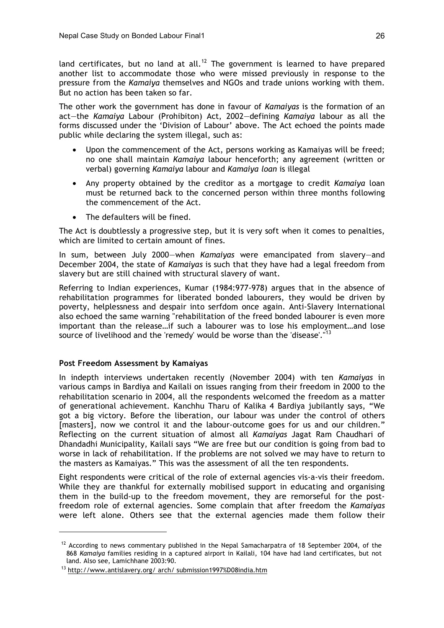land certificates, but no land at all.<sup>12</sup> The government is learned to have prepared another list to accommodate those who were missed previously in response to the pressure from the *Kamaiya* themselves and NGOs and trade unions working with them. But no action has been taken so far.

The other work the government has done in favour of *Kamaiyas* is the formation of an act—the *Kamaiya* Labour (Prohibiton) Act, 2002—defining *Kamaiya* labour as all the forms discussed under the 'Division of Labour' above. The Act echoed the points made public while declaring the system illegal, such as:

- Upon the commencement of the Act, persons working as Kamaiyas will be freed; no one shall maintain *Kamaiya* labour henceforth; any agreement (written or verbal) governing *Kamaiya* labour and *Kamaiya loan* is illegal
- Any property obtained by the creditor as a mortgage to credit *Kamaiya* loan must be returned back to the concerned person within three months following the commencement of the Act.
- The defaulters will be fined.

The Act is doubtlessly a progressive step, but it is very soft when it comes to penalties, which are limited to certain amount of fines.

In sum, between July 2000—when *Kamaiyas* were emancipated from slavery—and December 2004, the state of *Kamaiyas* is such that they have had a legal freedom from slavery but are still chained with structural slavery of want.

Referring to Indian experiences, Kumar (1984:977-978) argues that in the absence of rehabilitation programmes for liberated bonded labourers, they would be driven by poverty, helplessness and despair into serfdom once again. Anti-Slavery International also echoed the same warning "rehabilitation of the freed bonded labourer is even more important than the release…if such a labourer was to lose his employment…and lose source of livelihood and the 'remedy' would be worse than the 'disease'."<sup>13</sup>

### **Post Freedom Assessment by Kamaiyas**

In indepth interviews undertaken recently (November 2004) with ten *Kamaiyas* in various camps in Bardiya and Kailali on issues ranging from their freedom in 2000 to the rehabilitation scenario in 2004, all the respondents welcomed the freedom as a matter of generational achievement. Kanchhu Tharu of Kalika 4 Bardiya jubilantly says, "We got a big victory. Before the liberation, our labour was under the control of others [masters], now we control it and the labour-outcome goes for us and our children." Reflecting on the current situation of almost all *Kamaiyas* Jagat Ram Chaudhari of Dhandadhi Municipality, Kailali says "We are free but our condition is going from bad to worse in lack of rehabilitation. If the problems are not solved we may have to return to the masters as Kamaiyas." This was the assessment of all the ten respondents.

Eight respondents were critical of the role of external agencies vis-a-vis their freedom. While they are thankful for externally mobilised support in educating and organising them in the build-up to the freedom movement, they are remorseful for the postfreedom role of external agencies. Some complain that after freedom the *Kamaiyas* were left alone. Others see that the external agencies made them follow their

<sup>&</sup>lt;sup>12</sup> According to news commentary published in the Nepal Samacharpatra of 18 September 2004, of the 868 *Kamaiya* families residing in a captured airport in Kailali, 104 have had land certificates, but not land. Also see, Lamichhane 2003:90.

<sup>13</sup> http://www.antislavery.org/ arch/ submission1997%D08india.htm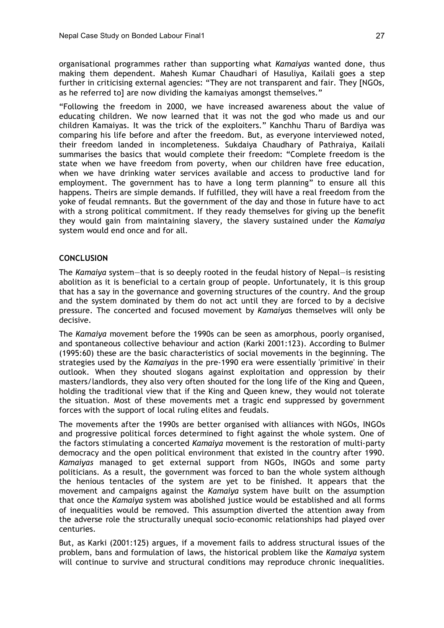organisational programmes rather than supporting what *Kamaiyas* wanted done, thus making them dependent. Mahesh Kumar Chaudhari of Hasuliya, Kailali goes a step further in criticising external agencies: "They are not transparent and fair. They [NGOs, as he referred to] are now dividing the kamaiyas amongst themselves."

"Following the freedom in 2000, we have increased awareness about the value of educating children. We now learned that it was not the god who made us and our children Kamaiyas. It was the trick of the exploiters." Kanchhu Tharu of Bardiya was comparing his life before and after the freedom. But, as everyone interviewed noted, their freedom landed in incompleteness. Sukdaiya Chaudhary of Pathraiya, Kailali summarises the basics that would complete their freedom: "Complete freedom is the state when we have freedom from poverty, when our children have free education, when we have drinking water services available and access to productive land for employment. The government has to have a long term planning" to ensure all this happens. Theirs are simple demands. If fulfilled, they will have a real freedom from the yoke of feudal remnants. But the government of the day and those in future have to act with a strong political commitment. If they ready themselves for giving up the benefit they would gain from maintaining slavery, the slavery sustained under the *Kamaiya* system would end once and for all.

### **CONCLUSION**

The *Kamaiya* system—that is so deeply rooted in the feudal history of Nepal—is resisting abolition as it is beneficial to a certain group of people. Unfortunately, it is this group that has a say in the governance and governing structures of the country. And the group and the system dominated by them do not act until they are forced to by a decisive pressure. The concerted and focused movement by *Kamaiya*s themselves will only be decisive.

The *Kamaiya* movement before the 1990s can be seen as amorphous, poorly organised, and spontaneous collective behaviour and action (Karki 2001:123). According to Bulmer (1995:60) these are the basic characteristics of social movements in the beginning. The strategies used by the *Kamaiyas* in the pre-1990 era were essentially 'primitive' in their outlook. When they shouted slogans against exploitation and oppression by their masters/landlords, they also very often shouted for the long life of the King and Queen, holding the traditional view that if the King and Queen knew, they would not tolerate the situation. Most of these movements met a tragic end suppressed by government forces with the support of local ruling elites and feudals.

The movements after the 1990s are better organised with alliances with NGOs, INGOs and progressive political forces determined to fight against the whole system. One of the factors stimulating a concerted *Kamaiya* movement is the restoration of multi-party democracy and the open political environment that existed in the country after 1990. *Kamaiyas* managed to get external support from NGOs, INGOs and some party politicians. As a result, the government was forced to ban the whole system although the henious tentacles of the system are yet to be finished. It appears that the movement and campaigns against the *Kamaiya* system have built on the assumption that once the *Kamaiya* system was abolished justice would be established and all forms of inequalities would be removed. This assumption diverted the attention away from the adverse role the structurally unequal socio-economic relationships had played over centuries.

But, as Karki (2001:125) argues, if a movement fails to address structural issues of the problem, bans and formulation of laws, the historical problem like the *Kamaiya* system will continue to survive and structural conditions may reproduce chronic inequalities.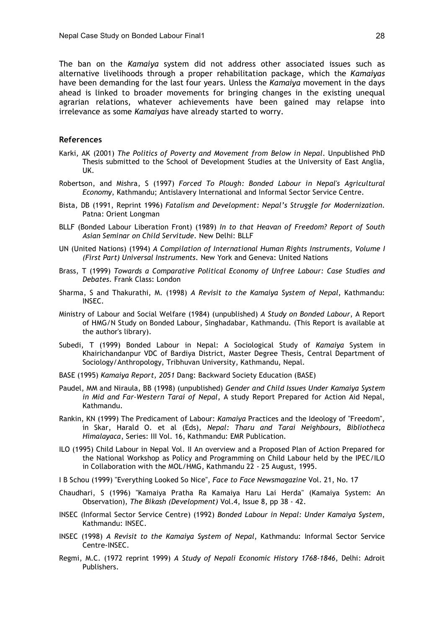The ban on the *Kamaiya* system did not address other associated issues such as alternative livelihoods through a proper rehabilitation package, which the *Kamaiyas* have been demanding for the last four years. Unless the *Kamaiya* movement in the days ahead is linked to broader movements for bringing changes in the existing unequal agrarian relations, whatever achievements have been gained may relapse into irrelevance as some *Kamaiyas* have already started to worry.

#### **References**

- Karki, AK (2001) *The Politics of Poverty and Movement from Below in Nepal*. Unpublished PhD Thesis submitted to the School of Development Studies at the University of East Anglia, UK.
- Robertson, and Mishra, S (1997) *Forced To Plough: Bonded Labour in Nepal's Agricultural Economy*, Kathmandu; Antislavery International and Informal Sector Service Centre.
- Bista, DB (1991, Reprint 1996) *Fatalism and Development: Nepal's Struggle for Modernization*. Patna: Orient Longman
- BLLF (Bonded Labour Liberation Front) (1989) *In to that Heavan of Freedom? Report of South Asian Seminar on Child Servitude.* New Delhi: BLLF
- UN (United Nations) (1994) *A Compilation of International Human Rights Instruments, Volume I (First Part) Universal Instruments*. New York and Geneva: United Nations
- Brass, T (1999) *Towards a Comparative Political Economy of Unfree Labour: Case Studies and Debates.* Frank Class: London
- Sharma, S and Thakurathi, M. (1998) *A Revisit to the Kamaiya System of Nepal*, Kathmandu: INSEC.
- Ministry of Labour and Social Welfare (1984) (unpublished) *A Study on Bonded Labour*, A Report of HMG/N Study on Bonded Labour, Singhadabar, Kathmandu. (This Report is available at the author's library).
- Subedi, T (1999) Bonded Labour in Nepal: A Sociological Study of *Kamaiya* System in Khairichandanpur VDC of Bardiya District, Master Degree Thesis, Central Department of Sociology/Anthropology, Tribhuvan University, Kathmandu, Nepal.
- BASE (1995) *Kamaiya Report, 2051* Dang: Backward Society Education (BASE)
- Paudel, MM and Niraula, BB (1998) (unpublished) *Gender and Child Issues Under Kamaiya System in Mid and Far-Western Tarai of Nepal*, A study Report Prepared for Action Aid Nepal, Kathmandu.
- Rankin, KN (1999) The Predicament of Labour: *Kamaiya* Practices and the Ideology of "Freedom", in Skar, Harald O. et al (Eds), *Nepal: Tharu and Tarai Neighbours, Bibliotheca Himalayaca*, Series: III Vol. 16, Kathmandu: EMR Publication.
- ILO (1995) Child Labour in Nepal Vol. II An overview and a Proposed Plan of Action Prepared for the National Workshop as Policy and Programming on Child Labour held by the IPEC/ILO in Collaboration with the MOL/HMG, Kathmandu 22 - 25 August, 1995.
- I B Schou (1999) "Everything Looked So Nice", *Face to Face Newsmagazine* Vol. 21, No. 17
- Chaudhari, S (1996) "Kamaiya Pratha Ra Kamaiya Haru Lai Herda" (Kamaiya System: An Observation), *The Bikash (Development)* Vol.4, Issue 8, pp 38 - 42.
- INSEC (Informal Sector Service Centre) (1992) *Bonded Labour in Nepal: Under Kamaiya System*, Kathmandu: INSEC.
- INSEC (1998) *A Revisit to the Kamaiya System of Nepal*, Kathmandu: Informal Sector Service Centre-INSEC.
- Regmi, M.C. (1972 reprint 1999) *A Study of Nepali Economic History 1768-1846*, Delhi: Adroit Publishers.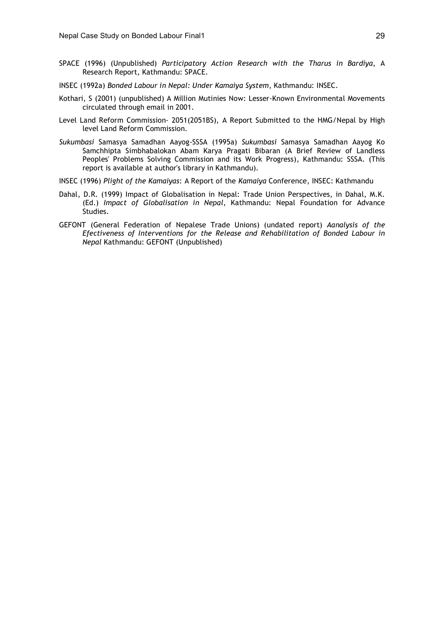- SPACE (1996) (Unpublished) *Participatory Action Research with the Tharus in Bardiya*, A Research Report, Kathmandu: SPACE.
- INSEC (1992a) *Bonded Labour in Nepal: Under Kamaiya System*, Kathmandu: INSEC.
- Kothari, S (2001) (unpublished) A Million Mutinies Now: Lesser-Known Environmental Movements circulated through email in 2001.
- Level Land Reform Commission- 2051(2051BS), A Report Submitted to the HMG/Nepal by High level Land Reform Commission.
- *Sukumbasi* Samasya Samadhan Aayog-SSSA (1995a) *Sukumbasi* Samasya Samadhan Aayog Ko Samchhipta Simbhabalokan Abam Karya Pragati Bibaran (A Brief Review of Landless Peoples' Problems Solving Commission and its Work Progress), Kathmandu: SSSA. (This report is available at author's library in Kathmandu).
- INSEC (1996) *Plight of the Kamaiyas*: A Report of the *Kamaiya* Conference, INSEC: Kathmandu
- Dahal, D.R. (1999) Impact of Globalisation in Nepal: Trade Union Perspectives, in Dahal, M.K. (Ed.) *Impact of Globalisation in Nepal*, Kathmandu: Nepal Foundation for Advance Studies.
- GEFONT (General Federation of Nepalese Trade Unions) (undated report) *Aanalysis of the Efectiveness of Interventions for the Release and Rehabilitation of Bonded Labour in Nepal* Kathmandu: GEFONT (Unpublished)